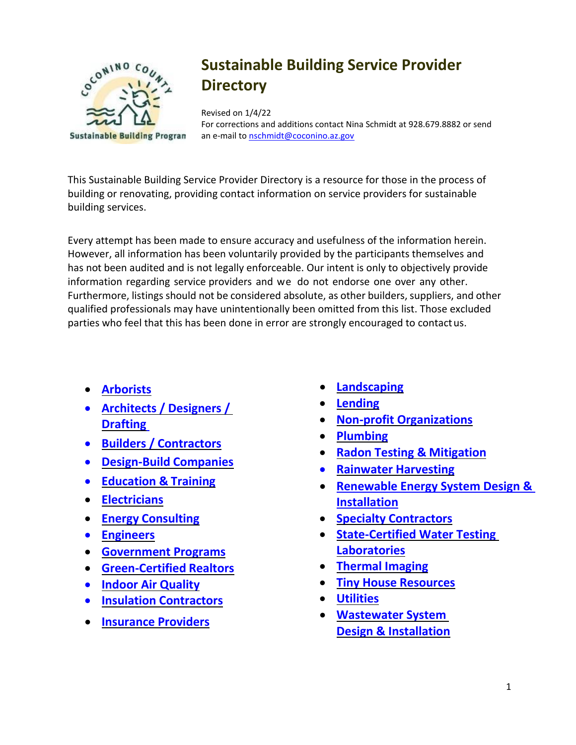

# **Sustainable Building Service Provider Directory**

Revised on 1/4/22

For corrections and additions contact Nina Schmidt at 928.679.8882 or send an e-mail to [nschmidt@coconino.az.gov](mailto:nschmidt@coconino.az.gov)

This Sustainable Building Service Provider Directory is a resource for those in the process of building or renovating, providing contact information on service providers for sustainable building services.

Every attempt has been made to ensure accuracy and usefulness of the information herein. However, all information has been voluntarily provided by the participants themselves and has not been audited and is not legally enforceable. Our intent is only to objectively provide information regarding service providers and we do not endorse one over any other. Furthermore, listings should not be considered absolute, as other builders, suppliers, and other qualified professionals may have unintentionally been omitted from this list. Those excluded parties who feel that this has been done in error are strongly encouraged to contactus.

- **[Arborists](#page-1-0)**
- **[Architects](#page-1-1) / Designers / [Drafting](#page-1-1)**
- **Builders / [Contractors](#page-5-0)**
- **[Design-Build](#page-9-0) Companies**
- **[Education &](#page-10-0) Training**
- **[Electricians](#page-13-0)**
- **Energy [Consulting](#page-13-1)**
- **[Engineers](#page-14-0)**
- **[Government](#page-16-0) Programs**
- **[Green-Certified](#page-17-0) Realtors**
- **[Indoor Air](#page-18-0) Quality**
- **Insulation [Contractors](#page-18-1)**
- **[Insurance](#page-19-0) Providers**
- **[Landscaping](#page-19-1)**
- **[Lending](#page-20-0)**
- **Non-profit [Organizations](#page-20-1)**
- **[Plumbing](#page-21-0)**
- **[Radon Testing &](#page-22-0) Mitigation**
- **Rainwater [Harvesting](#page-22-1)**
- **[Renewable Energy System Design &](#page-23-0)  [Installation](#page-23-0)**
- **Specialty [Contractors](#page-24-0)**
- **[State-Certified Water Testing](#page-26-0)  [Laboratories](#page-26-0)**
- **[Thermal](#page-26-0) Imaging**
- **[Tiny House](#page-26-1) Resources**
- **[Utilities](#page-26-2)**
- **[Wastewater System](#page-26-3)  [Design & Installation](#page-26-3)**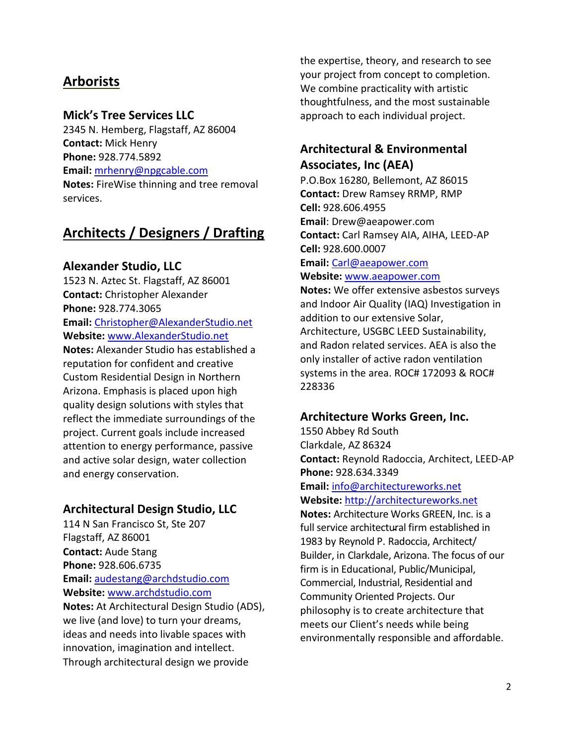# <span id="page-1-0"></span>**Arborists**

#### **Mick's Tree Services LLC**

2345 N. Hemberg, Flagstaff, AZ 86004 **Contact:** Mick Henry **Phone:** 928.774.5892 **Email:** [mrhenry@npgcable.com](mailto:mrhenry@npgcable.com) **Notes:** FireWise thinning and tree removal services.

# <span id="page-1-1"></span>**Architects / Designers / Drafting**

#### **Alexander Studio, LLC**

1523 N. Aztec St. Flagstaff, AZ 86001 **Contact:** Christopher Alexander **Phone:** 928.774.3065 **Email:** [Christopher@AlexanderStudio.net](mailto:Christopher@AlexanderStudio.net) **Website:** [www.AlexanderStudio.net](http://www.alexanderstudio.net/) **Notes:** Alexander Studio has established a reputation for confident and creative Custom Residential Design in Northern Arizona. Emphasis is placed upon high quality design solutions with styles that reflect the immediate surroundings of the project. Current goals include increased attention to energy performance, passive and active solar design, water collection and energy conservation.

#### **Architectural Design Studio, LLC**

114 N San Francisco St, Ste 207 Flagstaff, AZ 86001 **Contact:** Aude Stang **Phone:** 928.606.6735 **Email:** [audestang@archdstudio.com](mailto:audestang@archdstudio.com) **Website:** [www.archdstudio.com](http://www.archdstudio.com/) **Notes:** At Architectural Design Studio (ADS), we live (and love) to turn your dreams, ideas and needs into livable spaces with innovation, imagination and intellect. Through architectural design we provide

the expertise, theory, and research to see your project from concept to completion. We combine practicality with artistic thoughtfulness, and the most sustainable approach to each individual project.

# **Architectural & Environmental Associates, Inc (AEA)**

P.O.Box 16280, Bellemont, AZ 86015 **Contact:** Drew Ramsey RRMP, RMP **Cell:** 928.606.4955 **Email**: [Drew@aeapower.com](mailto:Drew@aeapower.com) **Contact:** Carl Ramsey AIA, AIHA, LEED-AP **Cell:** 928.600.0007

**Email:** [Carl@aeapower.com](mailto:Carl@aeapower.com) **Website:** [www.aeapower.com](http://www.aeapower.com/)

**Notes:** We offer extensive asbestos surveys and Indoor Air Quality (IAQ) Investigation in addition to our extensive Solar, Architecture, USGBC LEED Sustainability, and Radon related services. AEA is also the only installer of active radon ventilation systems in the area. ROC# 172093 & ROC# 228336

#### **Architecture Works Green, Inc.**

1550 Abbey Rd South Clarkdale, AZ 86324 **Contact:** Reynold Radoccia, Architect, LEED-AP **Phone:** 928.634.3349 **Email:** [info@architectureworks.net](mailto:info@architectureworks.net) **Website:** [http://architectureworks.net](http://architectureworks.net/)

**Notes:** Architecture Works GREEN, Inc. is a full service architectural firm established in 1983 by Reynold P. Radoccia, Architect/ Builder, in Clarkdale, Arizona. The focus of our firm is in Educational, Public/Municipal, Commercial, Industrial, Residential and Community Oriented Projects. Our philosophy is to create architecture that meets our Client's needs while being environmentally responsible and affordable.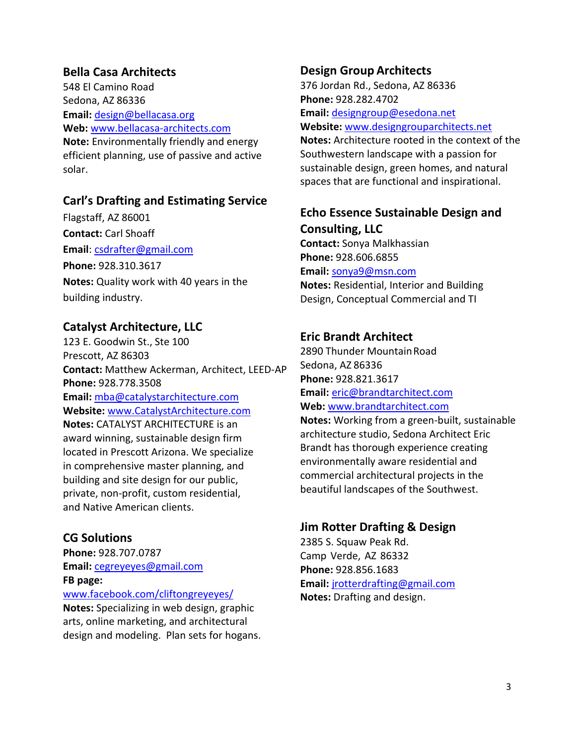### **Bella Casa Architects**

548 El Camino Road Sedona, AZ 86336 **Email:** [design@bellacasa.org](mailto:design@bellacasa.org) **Web:** [www.bellacasa-architects.com](http://www.bellacasa-architects.com/) **Note:** Environmentally friendly and energy efficient planning, use of passive and active solar.

#### **Carl's Drafting and Estimating Service**

Flagstaff, AZ 86001 **Contact:** Carl Shoaff **Email**: [csdrafter@gmail.com](mailto:csdrafter@gmail.com) **Phone:** 928.310.3617 **Notes:** Quality work with 40 years in the building industry.

#### **Catalyst Architecture, LLC**

123 E. Goodwin St., Ste 100 Prescott, AZ 86303 **Contact:** Matthew Ackerman, Architect, LEED-AP **Phone:** 928.778.3508 **Email:** [mba@catalystarchitecture.com](mailto:mba@catalystarchitecture.com) **Website:** [www.CatalystArchitecture.com](http://www.catalystarchitecture.com/) **Notes:** CATALYST ARCHITECTURE is an award winning, sustainable design firm located in Prescott Arizona. We specialize in comprehensive master planning, and building and site design for our public, private, non-profit, custom residential, and Native American clients.

### **CG Solutions**

**Phone:** 928.707.0787 **Email:** [cegreyeyes@gmail.com](mailto:cegreyeyes@gmail.com) **FB page:** 

#### [www.facebook.com/cliftongreyeyes/](http://www.facebook.com/cliftongreyeyes/)

**Notes:** Specializing in web design, graphic arts, online marketing, and architectural design and modeling. Plan sets for hogans.

#### **Design Group Architects**

376 Jordan Rd., Sedona, AZ 86336 **Phone:** 928.282.4702 **Email:** [designgroup@esedona.net](mailto:designgroup@esedona.net) **Website:** [www.designgrouparchitects.net](http://www.designgrouparchitects.net/)

**Notes:** Architecture rooted in the context of the Southwestern landscape with a passion for sustainable design, green homes, and natural spaces that are functional and inspirational.

# **Echo Essence Sustainable Design and Consulting, LLC**

**Contact:** Sonya Malkhassian **Phone:** 928.606.6855 **Email:** [sonya9@msn.com](mailto:sonya9@msn.com)

**Notes:** Residential, Interior and Building Design, Conceptual Commercial and TI

#### **Eric Brandt Architect**

2890 Thunder MountainRoad Sedona, AZ 86336 **Phone:** 928.821.3617 **Email:** [eric@brandtarchitect.com](mailto:eric@brandtarchitect.com) **Web:** [www.brandtarchitect.com](http://www.brandtarchitect.com/)

**Notes:** Working from a green-built, sustainable architecture studio, Sedona Architect Eric Brandt has thorough experience creating environmentally aware residential and commercial architectural projects in the beautiful landscapes of the Southwest.

### **Jim Rotter Drafting & Design**

2385 S. Squaw Peak Rd. Camp Verde, AZ 86332 **Phone:** 928.856.1683 **Email:** [jrotterdrafting@gmail.com](mailto:jrotterdrafting@gmail.com) **Notes:** Drafting and design.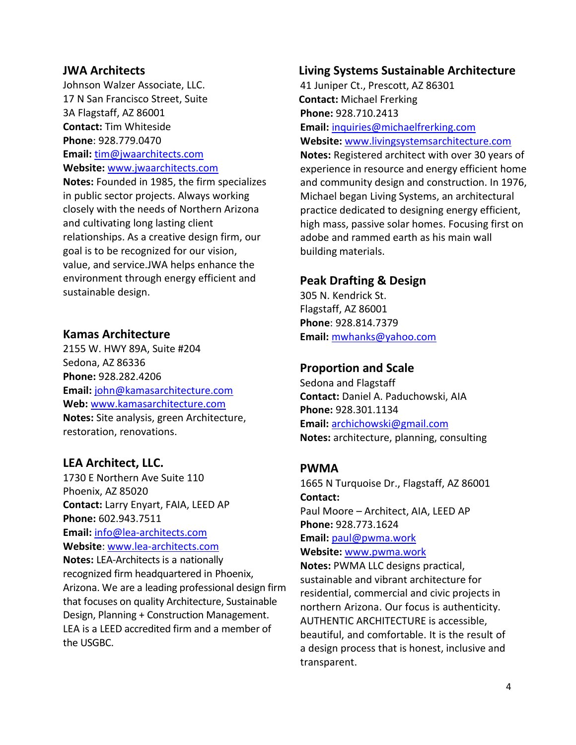#### **JWA Architects**

Johnson Walzer Associate, LLC. 17 N San Francisco Street, Suite 3A Flagstaff, AZ 86001 **Contact:** Tim Whiteside **Phone**: 928.779.0470 **Email:** [tim@jwaarchitects.com](mailto:tim@jwaarchitects.com) **Website:** [www.jwaarchitects.com](http://www.jwaarchitects.com/)

**Notes:** Founded in 1985, the firm specializes in public sector projects. Always working closely with the needs of Northern Arizona and cultivating long lasting client relationships. As a creative design firm, our goal is to be recognized for our vision, value, and service.JWA helps enhance the environment through energy efficient and sustainable design.

#### **Kamas Architecture**

2155 W. HWY 89A, Suite #204 Sedona, AZ 86336 **Phone:** 928.282.4206 **Email:** [john@kamasarchitecture.com](mailto:john@kamasarchitecture.com) **Web:** [www.kamasarchitecture.com](http://www.kamasarchitecture.com/) **Notes:** Site analysis, green Architecture, restoration, renovations.

### **LEA Architect, LLC.**

1730 E Northern Ave Suite 110 Phoenix, AZ 85020 **Contact:** Larry Enyart, FAIA, LEED AP **Phone:** 602.943.7511 **Email:** [info@lea-architects.com](mailto:info@lea-architects.com) **Website**: [www.lea-architects.com](http://www.lea-architects.com/) **Notes:** LEA-Architects is a nationally recognized firm headquartered in Phoenix, Arizona. We are a leading professional design firm that focuses on quality Architecture, Sustainable

Design, Planning + Construction Management. LEA is a LEED accredited firm and a member of the USGBC.

#### **Living Systems Sustainable Architecture**

41 Juniper Ct., Prescott, AZ 86301 **Contact:** Michael Frerking **Phone:** 928.710.2413 **Email:** [inquiries@michaelfrerking.com](mailto:inquiries@michaelfrerking.com) **Website:** [www.livingsystemsarchitecture.com](http://www.livingsystemsarchitecture.com/) **Notes:** Registered architect with over 30 years of experience in resource and energy efficient home and community design and construction. In 1976, Michael began Living Systems, an architectural practice dedicated to designing energy efficient, high mass, passive solar homes. Focusing first on adobe and rammed earth as his main wall building materials.

### **Peak Drafting & Design**

305 N. Kendrick St. Flagstaff, AZ 86001 **Phone**: 928.814.7379 **Email:** [mwhanks@yahoo.com](mailto:mwhanks@yahoo.com)

#### **Proportion and Scale**

Sedona and Flagstaff **Contact:** Daniel A. Paduchowski, AIA **Phone:** 928.301.1134 **Email:** [archichowski@gmail.com](mailto:archichowski@gmail.com) **Notes:** architecture, planning, consulting

#### **PWMA**

1665 N Turquoise Dr., Flagstaff, AZ 86001 **Contact:** Paul Moore – Architect, AIA, LEED AP **Phone:** 928.773.1624 **Email:** [paul@pwma.work](mailto:paul@pwma.work) **Website:** [www.pwma.work](http://www.pwma.work/)

**Notes:** PWMA LLC designs practical, sustainable and vibrant architecture for residential, commercial and civic projects in northern Arizona. Our focus is authenticity. AUTHENTIC ARCHITECTURE is accessible, beautiful, and comfortable. It is the result of a design process that is honest, inclusive and transparent.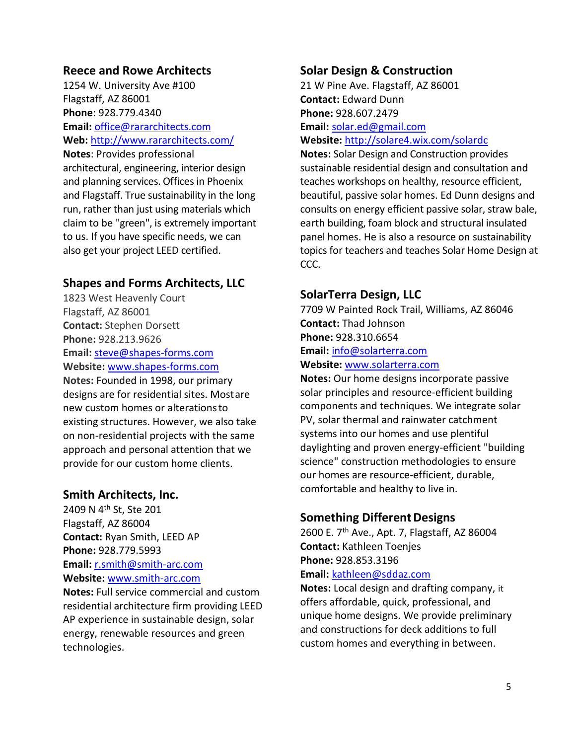#### **Reece and Rowe Architects**

1254 W. University Ave #100 Flagstaff, AZ 86001 **Phone**: 928.779.4340 **Email:** [office@rararchitects.com](mailto:office@rararchitects.com) **Web:** <http://www.rararchitects.com/> **Notes**: Provides professional architectural, engineering, interior design and planning services. Offices in Phoenix and Flagstaff. True sustainability in the long run, rather than just using materials which claim to be "green", is extremely important to us. If you have specific needs, we can also get your project LEED certified.

### **Shapes and Forms Architects, LLC**

1823 West Heavenly Court Flagstaff, AZ 86001 **Contact:** Stephen Dorsett **Phone:** 928.213.9626 **Email:** [steve@shapes-forms.com](mailto:steve@shapes-forms.com) **Website:** [www.shapes-forms.com](http://www.shapes-forms.com/) **Notes:** Founded in 1998, our primary designs are for residential sites. Mostare new custom homes or alterationsto existing structures. However, we also take on non-residential projects with the same approach and personal attention that we provide for our custom home clients.

#### **Smith Architects, Inc.**

2409 N 4th St, Ste 201 Flagstaff, AZ 86004 **Contact:** Ryan Smith, LEED AP **Phone:** 928.779.5993 **Email:** [r.smith@smith-arc.com](mailto:r.smith@smith-arc.com) **Website:** [www.smith-arc.com](http://www.smith-arc.com/)

**Notes:** Full service commercial and custom residential architecture firm providing LEED AP experience in sustainable design, solar energy, renewable resources and green technologies.

#### **Solar Design & Construction**

21 W Pine Ave. Flagstaff, AZ 86001 **Contact:** Edward Dunn **Phone:** 928.607.2479 **Email:** [solar.ed@gmail.com](mailto:solar.ed@gmail.com) **Website:** <http://solare4.wix.com/solardc>

**Notes:** Solar Design and Construction provides sustainable residential design and consultation and teaches workshops on healthy, resource efficient, beautiful, passive solar homes. Ed Dunn designs and consults on energy efficient passive solar, straw bale, earth building, foam block and structural insulated panel homes. He is also a resource on sustainability topics for teachers and teaches Solar Home Design at CCC.

### **SolarTerra Design, LLC**

7709 W Painted Rock Trail, Williams, AZ 86046 **Contact:** Thad Johnson **Phone:** 928.310.6654 **Email:** [info@solarterra.com](mailto:info@solarterra.com)

# **Website:** [www.solarterra.com](http://www.solarterra.com/)

**Notes:** Our home designs incorporate passive solar principles and resource-efficient building components and techniques. We integrate solar PV, solar thermal and rainwater catchment systems into our homes and use plentiful daylighting and proven energy-efficient "building science" construction methodologies to ensure our homes are resource-efficient, durable, comfortable and healthy to live in.

#### **Something Different Designs**

2600 E. 7th Ave., Apt. 7, Flagstaff, AZ 86004 **Contact:** Kathleen Toenjes **Phone:** 928.853.3196 **Email:** [kathleen@sddaz.com](mailto:kathleen@sddaz.com)

**Notes:** Local design and drafting company, it offers affordable, quick, professional, and unique home designs. We provide preliminary and constructions for deck additions to full custom homes and everything in between.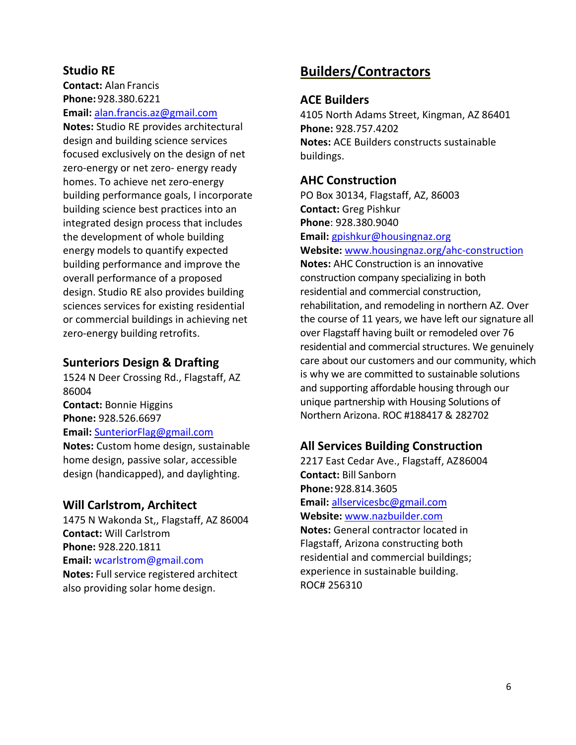### **Studio RE**

**Contact:** Alan Francis **Phone:** 928.380.6221

**Email:** [alan.francis.az@gmail.com](mailto:alan.francis.az@gmail.com)

**Notes:** Studio RE provides architectural design and building science services focused exclusively on the design of net zero-energy or net zero- energy ready homes. To achieve net zero-energy building performance goals, I incorporate building science best practices into an integrated design process that includes the development of whole building energy models to quantify expected building performance and improve the overall performance of a proposed design. Studio RE also provides building sciences services for existing residential or commercial buildings in achieving net zero-energy building retrofits.

#### **Sunteriors Design & Drafting**

1524 N Deer Crossing Rd., Flagstaff, AZ 86004 **Contact:** Bonnie Higgins **Phone:** 928.526.6697 **Email:** [SunteriorFlag@gmail.com](mailto:SunteriorFlag@gmail.com) **Notes:** Custom home design, sustainable home design, passive solar, accessible design (handicapped), and daylighting.

#### **Will Carlstrom, Architect**

1475 N Wakonda St,, Flagstaff, AZ 86004 **Contact:** Will Carlstrom **Phone:** 928.220.1811 **Email:** [wcarlstrom@gmail.com](mailto:wcarlstrom@gmail.com) **Notes:** Full service registered architect also providing solar home design.

# <span id="page-5-0"></span>**Builders/Contractors**

#### **ACE Builders**

4105 North Adams Street, Kingman, AZ 86401 **Phone:** 928.757.4202 **Notes:** ACE Builders constructs sustainable buildings.

#### **AHC Construction**

PO Box 30134, Flagstaff, AZ, 86003 **Contact:** Greg Pishkur **Phone**: 928.380.9040 **Email:** [gpishkur@housingnaz.org](mailto:gpishkur@housingnaz.org)

**Website:** [www.housingnaz.org/ahc-construction](file://///common10/cd$/Sustainable%20Building/Resource%20Directory/www.housingnaz.org/ahc-construction)

**Notes:** AHC Construction is an innovative construction company specializing in both residential and commercial construction, rehabilitation, and remodeling in northern AZ. Over the course of 11 years, we have left our signature all over Flagstaff having built or remodeled over 76 residential and commercial structures. We genuinely care about our customers and our community, which is why we are committed to sustainable solutions and supporting affordable housing through our unique partnership with Housing Solutions of Northern Arizona. ROC #188417 & 282702

#### **All Services Building Construction**

2217 East Cedar Ave., Flagstaff, AZ86004 **Contact:** Bill Sanborn **Phone:** 928.814.3605 **Email:** [allservicesbc@gmail.com](mailto:allservicesbc@gmail.com) **Website:** [www.nazbuilder.com](http://www.nazbuilder.com/) **Notes:** General contractor located in Flagstaff, Arizona constructing both residential and commercial buildings; experience in sustainable building. ROC# 256310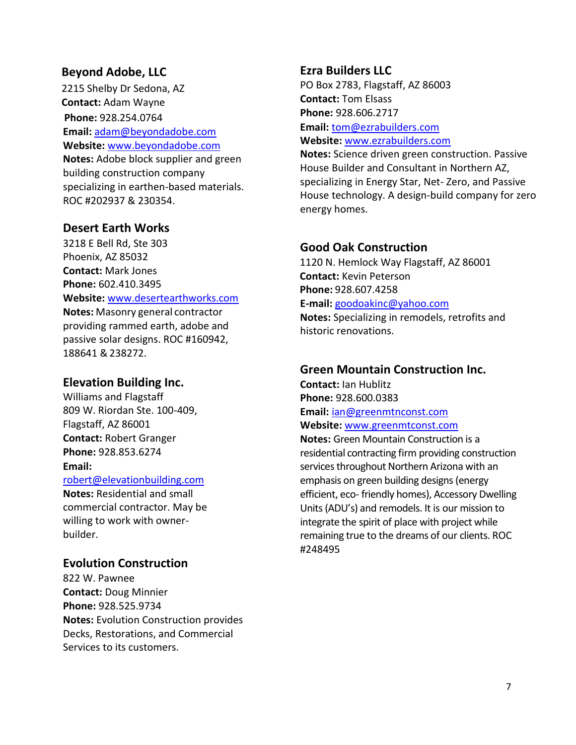#### **Beyond Adobe, LLC**

2215 Shelby Dr Sedona, AZ **Contact:** Adam Wayne **Phone:** 928.254.0764 **Email:** [adam@beyondadobe.com](mailto:adam@beyondadobe.com) **Website:** [www.beyondadobe.com](http://www.beyondadobe.com/) **Notes:** Adobe block supplier and green building construction company specializing in earthen-based materials. ROC #202937 & 230354.

### **Desert Earth Works**

3218 E Bell Rd, Ste 303 Phoenix, AZ 85032 **Contact:** Mark Jones **Phone:** 602.410.3495 **Website:** [www.desertearthworks.com](http://www.desertearthworks.com/) **Notes:** Masonry general contractor providing rammed earth, adobe and passive solar designs. ROC #160942, 188641 &238272.

#### **Elevation Building Inc.**

Williams and Flagstaff 809 W. Riordan Ste. 100-409, Flagstaff, AZ 86001 **Contact:** Robert Granger **Phone:** 928.853.6274 **Email:** 

[robert@elevationbuilding.com](mailto:robert@elevationbuilding.com)

**Notes:** Residential and small commercial contractor. May be willing to work with ownerbuilder.

#### **Evolution Construction**

822 W. Pawnee **Contact:** Doug Minnier **Phone:** 928.525.9734 **Notes:** Evolution Construction provides Decks, Restorations, and Commercial Services to its customers.

#### **Ezra Builders LLC**

PO Box 2783, Flagstaff, AZ 86003 **Contact:** Tom Elsass **Phone:** 928.606.2717 **Email:** [tom@ezrabuilders.com](mailto:tom@ezrabuilders.com)

**Website:** [www.ezrabuilders.com](http://www.ezrabuilders.com/)

**Notes:** Science driven green construction. Passive House Builder and Consultant in Northern AZ, specializing in Energy Star, Net- Zero, and Passive House technology. A design-build company for zero energy homes.

#### **Good Oak Construction**

1120 N. Hemlock Way Flagstaff, AZ 86001 **Contact:** Kevin Peterson **Phone:** 928.607.4258 **E-mail:** [goodoakinc@yahoo.com](mailto:goodoakinc@yahoo.com) **Notes:** Specializing in remodels, retrofits and historic renovations.

#### **Green Mountain Construction Inc.**

**Contact:** Ian Hublitz **Phone:** 928.600.0383 **Email:** [ian@greenmtnconst.com](mailto:ian@greenmtnconst.com) **Website:** [www.greenmtconst.com](http://www.greenmtconst.com/)

**Notes:** Green Mountain Construction is a residential contracting firm providing construction services throughout Northern Arizona with an emphasis on green building designs (energy efficient, eco- friendly homes), Accessory Dwelling Units (ADU's) and remodels. It is our mission to integrate the spirit of place with project while remaining true to the dreams of our clients. ROC #248495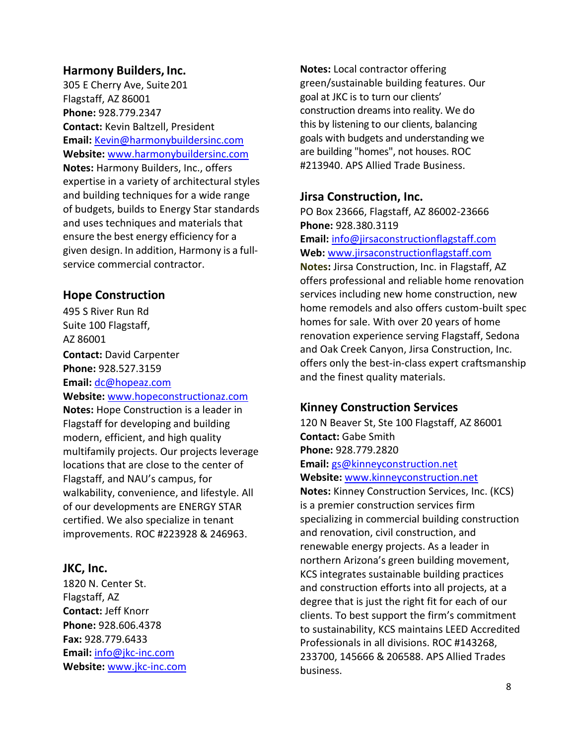#### **Harmony Builders, Inc.**

305 E Cherry Ave, Suite 201 Flagstaff, AZ 86001 **Phone:** 928.779.2347 **Contact:** Kevin Baltzell, President **Email:** [Kevin@harmonybuildersinc.com](mailto:Kevin@harmonybuildersinc.com) **Website:** [www.harmonybuildersinc.com](http://www.harmonybuildersinc.com/) **Notes:** Harmony Builders, Inc., offers expertise in a variety of architectural styles and building techniques for a wide range of budgets, builds to Energy Star standards and uses techniques and materials that ensure the best energy efficiency for a given design. In addition, Harmony is a fullservice commercial contractor.

#### **Hope Construction**

495 S River Run Rd Suite 100 Flagstaff, AZ 86001 **Contact:** David Carpenter **Phone:** 928.527.3159 **Email:** [dc@hopeaz.com](mailto:dc@hopeaz.com) **Website:** [www.hopeconstructionaz.com](http://www.hopeconstructionaz.com/) **Notes:** Hope Construction is a leader in Flagstaff for developing and building modern, efficient, and high quality multifamily projects. Our projects leverage locations that are close to the center of Flagstaff, and NAU's campus, for walkability, convenience, and lifestyle. All of our developments are ENERGY STAR certified. We also specialize in tenant improvements. ROC #223928 & 246963.

#### **JKC, Inc.**

1820 N. Center St. Flagstaff, AZ **Contact:** Jeff Knorr **Phone:** 928.606.4378 **Fax:** 928.779.6433 **Email:** [info@jkc-inc.com](mailto:info@jkc-inc.com) **Website:** [www.jkc-inc.com](http://www.jkc-inc.com/) **Notes:** Local contractor offering green/sustainable building features. Our goal at JKC is to turn our clients' construction dreams into reality. We do this by listening to our clients, balancing goals with budgets and understanding we are building "homes", not houses. ROC #213940. APS Allied Trade Business.

#### **Jirsa Construction, Inc.**

PO Box 23666, Flagstaff, AZ 86002-23666 **Phone:** 928.380.3119 **Email:** [info@jirsaconstructionflagstaff.com](mailto:info@jirsaconstructionflagstaff.com) **Web:** [www.jirsaconstructionflagstaff.com](http://www.jirsaconstructionflagstaff.com/) **Notes:** Jirsa Construction, Inc. in Flagstaff, AZ offers professional and reliable home renovation

services including new home construction, new home remodels and also offers custom-built spec homes for sale. With over 20 years of home renovation experience serving Flagstaff, Sedona and Oak Creek Canyon, Jirsa Construction, Inc. offers only the best-in-class expert craftsmanship and the finest quality materials.

#### **Kinney Construction Services**

120 N Beaver St, Ste 100 Flagstaff, AZ 86001 **Contact:** Gabe Smith **Phone:** 928.779.2820 **Email:** [gs@kinneyconstruction.net](mailto:gs@kinneyconstruction.net) **Website:** [www.kinneyconstruction.net](http://www.kinneyconstruction.net/)

**Notes:** Kinney Construction Services, Inc. (KCS) is a premier construction services firm specializing in commercial building construction and renovation, civil construction, and renewable energy projects. As a leader in northern Arizona's green building movement, KCS integrates sustainable building practices and construction efforts into all projects, at a degree that is just the right fit for each of our clients. To best support the firm's commitment to sustainability, KCS maintains LEED Accredited Professionals in all divisions. ROC #143268, 233700, 145666 & 206588. APS Allied Trades business.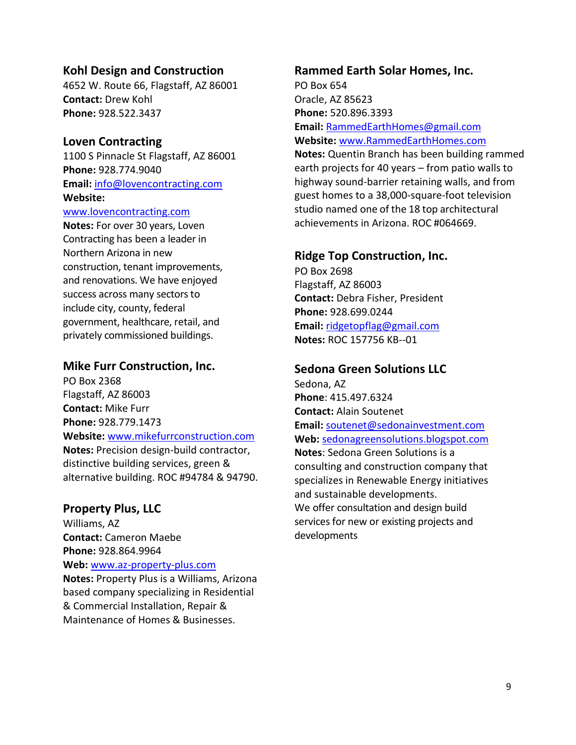#### **Kohl Design and Construction**

4652 W. Route 66, Flagstaff, AZ 86001 **Contact:** Drew Kohl **Phone:** 928.522.3437

#### **Loven Contracting**

1100 S Pinnacle St Flagstaff, AZ 86001 **Phone:** 928.774.9040 **Email:** [info@lovencontracting.com](mailto:info@lovencontracting.com) **Website:** 

#### [www.lovencontracting.com](http://www.lovencontracting.com/)

**Notes:** For over 30 years, Loven Contracting has been a leader in Northern Arizona in new construction, tenant improvements, and renovations. We have enjoyed success across many sectors to include city, county, federal government, healthcare, retail, and privately commissioned buildings.

#### **Mike Furr Construction, Inc.**

PO Box 2368 Flagstaff, AZ 86003 **Contact:** Mike Furr **Phone:** 928.779.1473 **Website:** [www.mikefurrconstruction.com](http://www.mikefurrconstruction.com/) **Notes:** Precision design-build contractor, distinctive building services, green & alternative building. ROC #94784 & 94790.

#### **Property Plus, LLC**

Williams, AZ **Contact:** Cameron Maebe **Phone:** 928.864.9964 **Web:** [www.az-property-plus.com](http://www.az-property-plus.com/) **Notes:** Property Plus is a Williams, Arizona based company specializing in Residential & Commercial Installation, Repair & Maintenance of Homes & Businesses.

### **Rammed Earth Solar Homes, Inc.** PO Box 654 Oracle, AZ 85623 **Phone:** 520.896.3393 **Email:** [RammedEarthHomes@gmail.com](mailto:RammedEarthHomes@gmail.com) **Website:** [www.RammedEarthHomes.com](http://www.rammedearthhomes.com/) **Notes:** Quentin Branch has been building rammed earth projects for 40 years – from patio walls to highway sound-barrier retaining walls, and from guest homes to a 38,000-square-foot television

studio named one of the 18 top architectural achievements in Arizona. ROC #064669.

### **Ridge Top Construction, Inc.**

PO Box 2698 Flagstaff, AZ 86003 **Contact:** Debra Fisher, President **Phone:** 928.699.0244 **Email:** [ridgetopflag@gmail.com](mailto:ridgetopflag@gmail.com) **Notes:** ROC 157756 KB--01

#### **Sedona Green Solutions LLC**

Sedona, AZ **Phone**: 415.497.6324 **Contact:** Alain Soutenet **Email:** [soutenet@sedonainvestment.com](mailto:soutenet@sedonainvestment.com) **Web:** [sedonagreensolutions.blogspot.com](http://sedonagreensolutions.blogspot.com/) **Notes**: Sedona Green Solutions is a consulting and construction company that specializes in Renewable Energy initiatives and sustainable developments. We offer consultation and design build services for new or existing projects and developments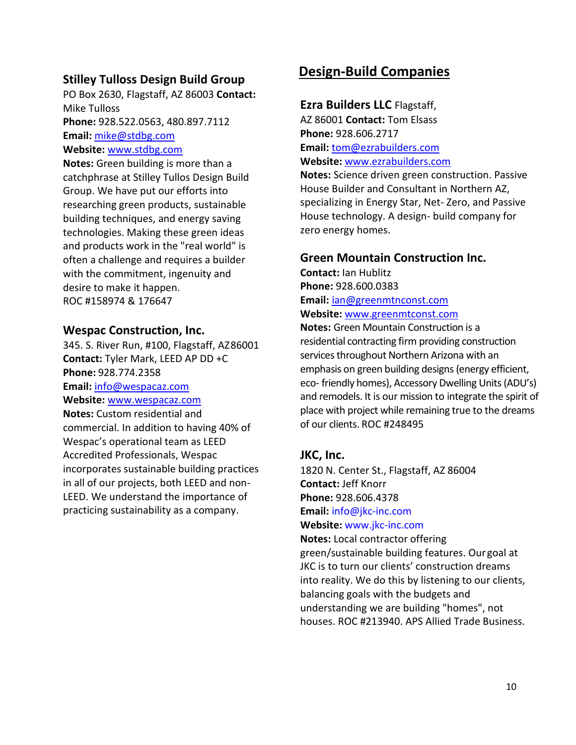### **Stilley Tulloss Design Build Group**

PO Box 2630, Flagstaff, AZ 86003 **Contact:**  Mike Tulloss **Phone:** 928.522.0563, 480.897.7112 **Email:** [mike@stdbg.com](mailto:mike@stdbg.com)

#### **Website:** [www.stdbg.com](http://www.stdbg.com/)

**Notes:** Green building is more than a catchphrase at Stilley Tullos Design Build Group. We have put our efforts into researching green products, sustainable building techniques, and energy saving technologies. Making these green ideas and products work in the "real world" is often a challenge and requires a builder with the commitment, ingenuity and desire to make it happen. ROC #158974 & 176647

#### **Wespac Construction, Inc.**

345. S. River Run, #100, Flagstaff, AZ86001 **Contact:** Tyler Mark, LEED AP DD +C **Phone:** 928.774.2358 **Email:** [info@wespacaz.com](mailto:info@wespacaz.com) **Website:** [www.wespacaz.com](http://www.wespacaz.com/) **Notes:** Custom residential and commercial. In addition to having 40% of Wespac's operational team as LEED Accredited Professionals, Wespac incorporates sustainable building practices in all of our projects, both LEED and non-LEED. We understand the importance of practicing sustainability as a company.

# <span id="page-9-0"></span>**Design-Build Companies**

#### **Ezra Builders LLC** Flagstaff,

AZ 86001 **Contact:** Tom Elsass **Phone:** 928.606.2717 **Email:** [tom@ezrabuilders.com](mailto:tom@ezrabuilders.com) **Website:** [www.ezrabuilders.com](http://www.ezrabuilders.com/)

**Notes:** Science driven green construction. Passive House Builder and Consultant in Northern AZ, specializing in Energy Star, Net- Zero, and Passive House technology. A design- build company for zero energy homes.

#### **Green Mountain Construction Inc.**

**Contact:** Ian Hublitz **Phone:** 928.600.0383 **Email:** [ian@greenmtnconst.com](mailto:ian@greenmtnconst.com) **Website:** [www.greenmtconst.com](http://www.greenmtconst.com/)

**Notes:** Green Mountain Construction is a residential contracting firm providing construction services throughout Northern Arizona with an emphasis on green building designs (energy efficient, eco- friendly homes), Accessory Dwelling Units (ADU's) and remodels. It is our mission to integrate the spirit of place with project while remaining true to the dreams of our clients. ROC #248495

#### **JKC, Inc.**

1820 N. Center St., Flagstaff, AZ 86004 **Contact:** Jeff Knorr **Phone:** 928.606.4378 **Email:** [info@jkc-inc.com](mailto:info@jkc-inc.com)

**Website:** [www.jkc-inc.com](http://www.jkc-inc.com/)

**Notes:** Local contractor offering green/sustainable building features. Ourgoal at JKC is to turn our clients' construction dreams into reality. We do this by listening to our clients, balancing goals with the budgets and understanding we are building "homes", not houses. ROC #213940. APS Allied Trade Business.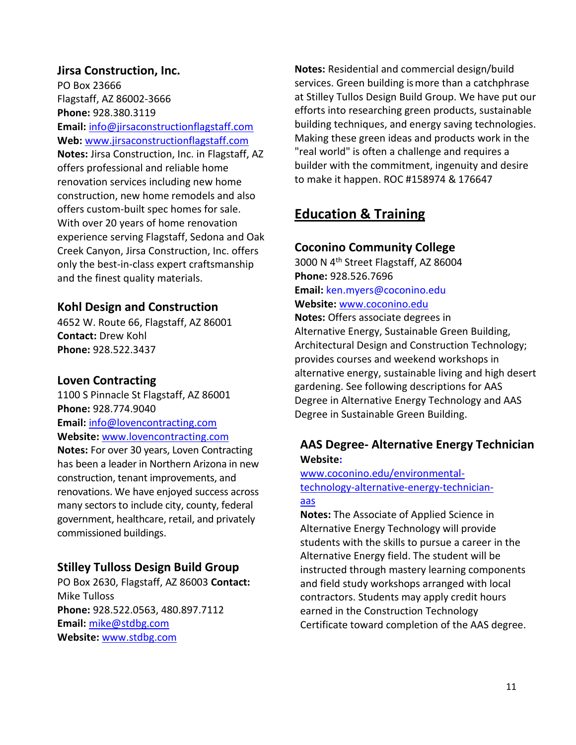**Jirsa Construction, Inc.** PO Box 23666 Flagstaff, AZ 86002-3666 **Phone:** 928.380.3119 **Email:** [info@jirsaconstructionflagstaff.com](mailto:info@jirsaconstructionflagstaff.com) **Web:** [www.jirsaconstructionflagstaff.com](http://www.jirsaconstructionflagstaff.com/) **Notes:** Jirsa Construction, Inc. in Flagstaff, AZ offers professional and reliable home renovation services including new home construction, new home remodels and also offers custom-built spec homes for sale. With over 20 years of home renovation experience serving Flagstaff, Sedona and Oak Creek Canyon, Jirsa Construction, Inc. offers only the best-in-class expert craftsmanship and the finest quality materials.

### **Kohl Design and Construction**

4652 W. Route 66, Flagstaff, AZ 86001 **Contact:** Drew Kohl **Phone:** 928.522.3437

#### **Loven Contracting**

1100 S Pinnacle St Flagstaff, AZ 86001 **Phone:** 928.774.9040 **Email:** [info@lovencontracting.com](mailto:info@lovencontracting.com) **Website:** [www.lovencontracting.com](http://www.lovencontracting.com/)

**Notes:** For over 30 years, Loven Contracting has been a leader in Northern Arizona in new construction, tenant improvements, and renovations. We have enjoyed success across many sectors to include city, county, federal government, healthcare, retail, and privately commissioned buildings.

# **Stilley Tulloss Design Build Group**

PO Box 2630, Flagstaff, AZ 86003 **Contact:**  Mike Tulloss **Phone:** 928.522.0563, 480.897.7112 **Email:** [mike@stdbg.com](mailto:mike@stdbg.com) **Website:** [www.stdbg.com](http://www.stdbg.com/)

**Notes:** Residential and commercial design/build services. Green building ismore than a catchphrase at Stilley Tullos Design Build Group. We have put our efforts into researching green products, sustainable building techniques, and energy saving technologies. Making these green ideas and products work in the "real world" is often a challenge and requires a builder with the commitment, ingenuity and desire to make it happen. ROC #158974 & 176647

# <span id="page-10-0"></span>**Education & Training**

### **Coconino Community College**

3000 N 4th Street Flagstaff, AZ 86004 **Phone:** 928.526.7696 **Email:** [ken.myers@coconino.edu](mailto:ken.myers@coconino.edu) **Website:** [www.coconino.edu](http://www.coconino.edu/)

**Notes:** Offers associate degrees in Alternative Energy, Sustainable Green Building, Architectural Design and Construction Technology; provides courses and weekend workshops in alternative energy, sustainable living and high desert gardening. See following descriptions for AAS Degree in Alternative Energy Technology and AAS Degree in Sustainable Green Building.

# **AAS Degree- Alternative Energy Technician Website:**

#### [www.coconino.edu/environmental](http://www.coconino.edu/environmental-technology-alternative-energy-technician-aas)[technology-alternative-energy-technician](http://www.coconino.edu/environmental-technology-alternative-energy-technician-aas)[aas](http://www.coconino.edu/environmental-technology-alternative-energy-technician-aas)

**Notes:** The Associate of Applied Science in Alternative Energy Technology will provide students with the skills to pursue a career in the Alternative Energy field. The student will be instructed through mastery learning components and field study workshops arranged with local contractors. Students may apply credit hours earned in the Construction Technology Certificate toward completion of the AAS degree.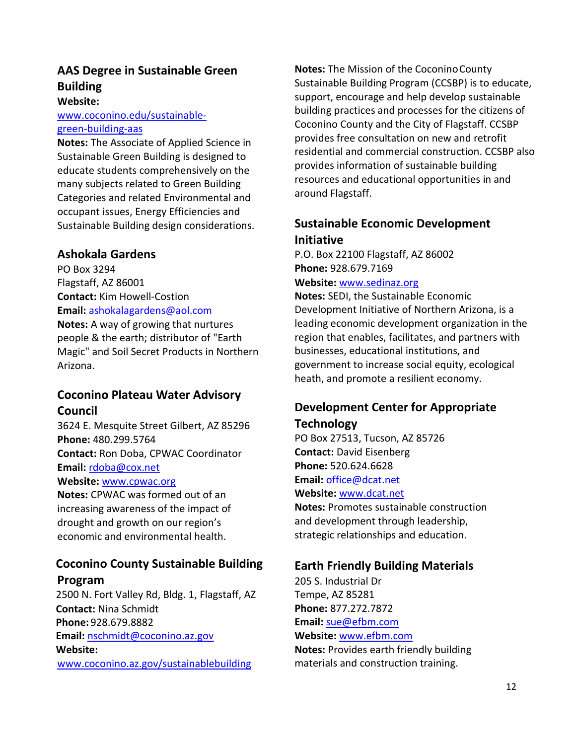# **AAS Degree in Sustainable Green Building**

#### **Website:**

[www.coconino.edu/sustainable](http://www.coconino.edu/sustainable-green-building-aas)[green-building-aas](http://www.coconino.edu/sustainable-green-building-aas)

**Notes:** The Associate of Applied Science in Sustainable Green Building is designed to educate students comprehensively on the many subjects related to Green Building Categories and related Environmental and occupant issues, Energy Efficiencies and Sustainable Building design considerations.

### **Ashokala Gardens**

PO Box 3294 Flagstaff, AZ 86001 **Contact:** Kim Howell-Costion **Email:** [ashokalagardens@aol.com](mailto:ashokalagardens@aol.com)

**Notes:** A way of growing that nurtures people & the earth; distributor of "Earth Magic" and Soil Secret Products in Northern Arizona.

# **Coconino Plateau Water Advisory Council**

3624 E. Mesquite Street Gilbert, AZ 85296 **Phone:** 480.299.5764 **Contact:** Ron Doba, CPWAC Coordinator **Email:** [rdoba@cox.net](mailto:rdoba@cox.net) **Website:** [www.cpwac.org](http://www.cpwac.org/) **Notes:** CPWAC was formed out of an increasing awareness of the impact of

drought and growth on our region's economic and environmental health.

# **Coconino County Sustainable Building Program**

2500 N. Fort Valley Rd, Bldg. 1, Flagstaff, AZ **Contact:** Nina Schmidt **Phone:** 928.679.8882 **Email:** [nschmidt@coconino.az.gov](mailto:nschmidt@coconino.az.gov) **Website:**  [www.coconino.az.gov/sustainablebuilding](http://www.coconino.az.gov/sustainablebuilding)

**Notes:** The Mission of the Coconino County Sustainable Building Program (CCSBP) is to educate, support, encourage and help develop sustainable building practices and processes for the citizens of Coconino County and the City of Flagstaff. CCSBP provides free consultation on new and retrofit residential and commercial construction. CCSBP also provides information of sustainable building resources and educational opportunities in and around Flagstaff.

# **Sustainable Economic Development Initiative**

P.O. Box 22100 Flagstaff, AZ 86002 **Phone:** 928.679.7169

**Website:** [www.sedinaz.org](http://www.sedinaz.org/)

**Notes:** SEDI, the Sustainable Economic Development Initiative of Northern Arizona, is a leading economic development organization in the region that enables, facilitates, and partners with businesses, educational institutions, and government to increase social equity, ecological heath, and promote a resilient economy.

# **Development Center for Appropriate Technology**

PO Box 27513, Tucson, AZ 85726 **Contact:** David Eisenberg **Phone:** 520.624.6628 **Email:** [office@dcat.net](mailto:office@dcat.net) **Website:** [www.dcat.net](http://www.dcat.net/)

**Notes:** Promotes sustainable construction and development through leadership, strategic relationships and education.

# **Earth Friendly Building Materials**

205 S. Industrial Dr Tempe, AZ 85281 **Phone:** 877.272.7872 **Email:** [sue@efbm.com](mailto:sue@efbm.com) **Website:** [www.efbm.com](http://www.efbm.com/) **Notes:** Provides earth friendly building materials and construction training.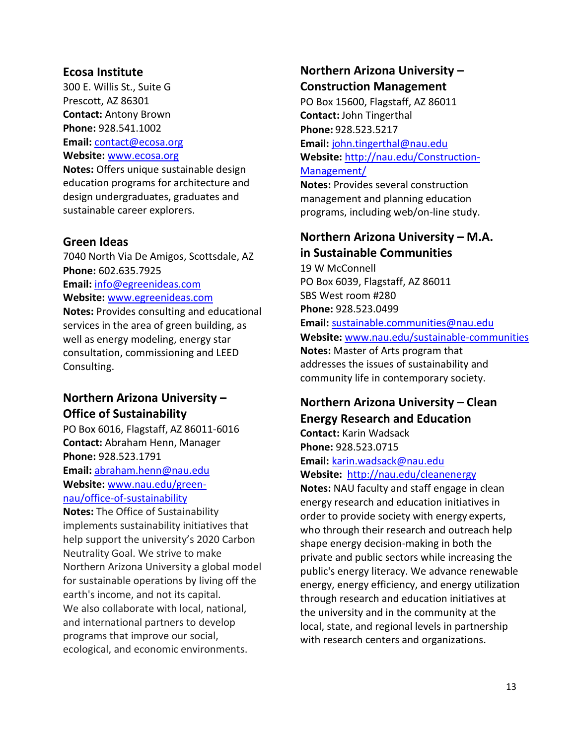#### **Ecosa Institute**

300 E. Willis St., Suite G Prescott, AZ 86301 **Contact:** Antony Brown **Phone:** 928.541.1002 **Email:** [contact@ecosa.org](mailto:contact@ecosa.org) **Website:** [www.ecosa.org](http://www.ecosa.org/)

**Notes:** Offers unique sustainable design education programs for architecture and design undergraduates, graduates and sustainable career explorers.

#### **Green Ideas**

7040 North Via De Amigos, Scottsdale, AZ **Phone:** 602.635.7925 **Email:** [info@egreenideas.com](mailto:info@egreenideas.com) **Website:** [www.egreenideas.com](http://www.egreenideas.com/) **Notes:** Provides consulting and educational

services in the area of green building, as well as energy modeling, energy star consultation, commissioning and LEED Consulting.

# **Northern Arizona University – Office of Sustainability**

PO Box 6016, Flagstaff, AZ 86011-6016 **Contact:** Abraham Henn, Manager **Phone:** 928.523.1791 **Email:** [abraham.henn@nau.edu](mailto:abraham.henn@nau.edu) **Website:** [www.nau.edu/green](http://www.nau.edu/green-nau/office-of-sustainability)[nau/office-of-sustainability](http://www.nau.edu/green-nau/office-of-sustainability)

**Notes:** The Office of Sustainability implements sustainability initiatives that help support the university's 2020 Carbon Neutrality Goal. We strive to make Northern Arizona University a global model for sustainable operations by living off the earth's income, and not its capital. We also collaborate with local, national, and international partners to develop programs that improve our social, ecological, and economic environments.

# **Northern Arizona University – Construction Management**

PO Box 15600, Flagstaff, AZ 86011 **Contact:** John Tingerthal **Phone:** 928.523.5217 **Email:** [john.tingerthal@nau.edu](mailto:john.tingerthal@nau.edu) **Website:** [http://nau.edu/Construction-](http://nau.edu/Construction-Management/)[Management/](http://nau.edu/Construction-Management/)

**Notes:** Provides several construction management and planning education programs, including web/on-line study.

### **Northern Arizona University – M.A. in Sustainable Communities**

19 W McConnell PO Box 6039, Flagstaff, AZ 86011 SBS West room #280 **Phone:** 928.523.0499 **Email:** [sustainable.communities@nau.edu](mailto:sustainable.communities@nau.edu) **Website:** [www.nau.edu/s](http://www.nau.edu/)ustainable-communities **Notes:** Master of Arts program that addresses the issues of sustainability and community life in contemporary society.

# **Northern Arizona University – Clean Energy Research and Education**

**Contact:** Karin Wadsack **Phone:** 928.523.0715 **Email:** [karin.wadsack@nau.edu](mailto:karin.wadsack@nau.edu)

**Website:** <http://nau.edu/cleanenergy>

**Notes:** NAU faculty and staff engage in clean energy research and education initiatives in order to provide society with energy experts, who through their research and outreach help shape energy decision-making in both the private and public sectors while increasing the public's energy literacy. We advance renewable energy, energy efficiency, and energy utilization through research and education initiatives at the university and in the community at the local, state, and regional levels in partnership with research centers and organizations.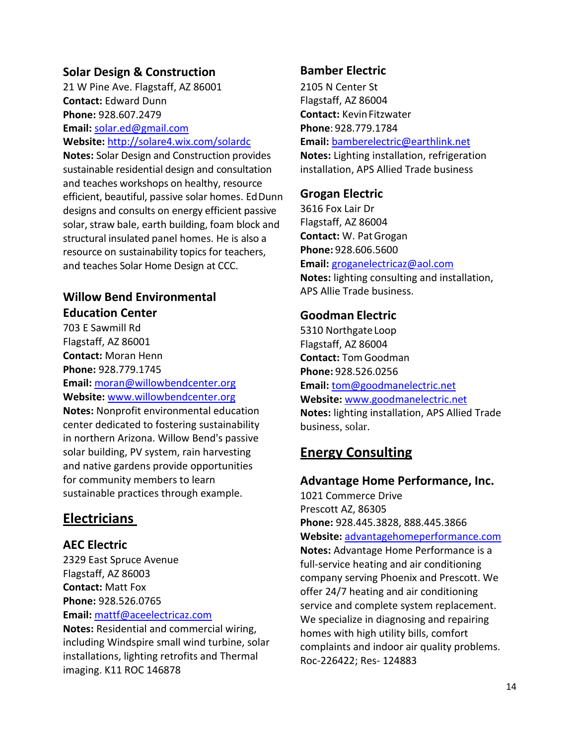### **Solar Design & Construction**

21 W Pine Ave. Flagstaff, AZ 86001 **Contact:** Edward Dunn **Phone:** 928.607.2479 **Email:** [solar.ed@gmail.com](mailto:solar.ed@gmail.com) **Website:** <http://solare4.wix.com/solardc>

**Notes:** Solar Design and Construction provides sustainable residential design and consultation and teaches workshops on healthy, resource efficient, beautiful, passive solar homes. EdDunn designs and consults on energy efficient passive solar, straw bale, earth building, foam block and structural insulated panel homes. He is also a resource on sustainability topics for teachers, and teaches Solar Home Design at CCC.

### **Willow Bend Environmental Education Center**

703 E Sawmill Rd Flagstaff, AZ 86001 **Contact:** Moran Henn **Phone:** 928.779.1745 **Email:** [moran@willowbendcenter.org](mailto:moran@willowbendcenter.org) **Website:** [www.willowbendcenter.org](http://www.willowbendcenter.org/) **Notes:** Nonprofit environmental education center dedicated to fostering sustainability in northern Arizona. Willow Bend's passive solar building, PV system, rain harvesting and native gardens provide opportunities for community members to learn sustainable practices through example.

# <span id="page-13-0"></span>**Electricians**

### **AEC Electric**

2329 East Spruce Avenue Flagstaff, AZ 86003 **Contact:** Matt Fox **Phone:** 928.526.0765 **Email:** [mattf@aceelectricaz.com](mailto:mattf@aceelectricaz.com)

**Notes:** Residential and commercial wiring, including Windspire small wind turbine, solar installations, lighting retrofits and Thermal imaging. K11 ROC 146878

#### **Bamber Electric**

2105 N Center St Flagstaff, AZ 86004 **Contact: Kevin Fitzwater Phone**: 928.779.1784 **Email:** [bamberelectric@earthlink.net](mailto:bamberelectric@earthlink.net)

**Notes:** Lighting installation, refrigeration installation, APS Allied Trade business

### **Grogan Electric**

3616 Fox Lair Dr Flagstaff, AZ 86004 **Contact:** W. PatGrogan **Phone:** 928.606.5600 **Email:** [groganelectricaz@aol.com](mailto:groganelectricaz@aol.com) **Notes:** lighting consulting and installation, APS Allie Trade business.

#### **Goodman Electric**

5310 Northgate Loop Flagstaff, AZ 86004 **Contact:** TomGoodman **Phone:** 928.526.0256 **Email:** [tom@goodmanelectric.net](mailto:tom@goodmanelectric.net) **Website:** [www.goodmanelectric.net](http://www.goodmanelectric.net/) **Notes:** lighting installation, APS Allied Trade business, solar.

# <span id="page-13-1"></span>**Energy Consulting**

#### **Advantage Home Performance, Inc.**

1021 Commerce Drive Prescott AZ, 86305 **Phone:** 928.445.3828, 888.445.3866 **Website:** [advantagehomeperformance.com](http://www.advantagehomeperformance.com/) **Notes:** Advantage Home Performance is a full-service heating and air conditioning company serving Phoenix and Prescott. We offer 24/7 heating and air conditioning service and complete system replacement. We specialize in diagnosing and repairing homes with high utility bills, comfort complaints and indoor air quality problems. Roc-226422; Res- 124883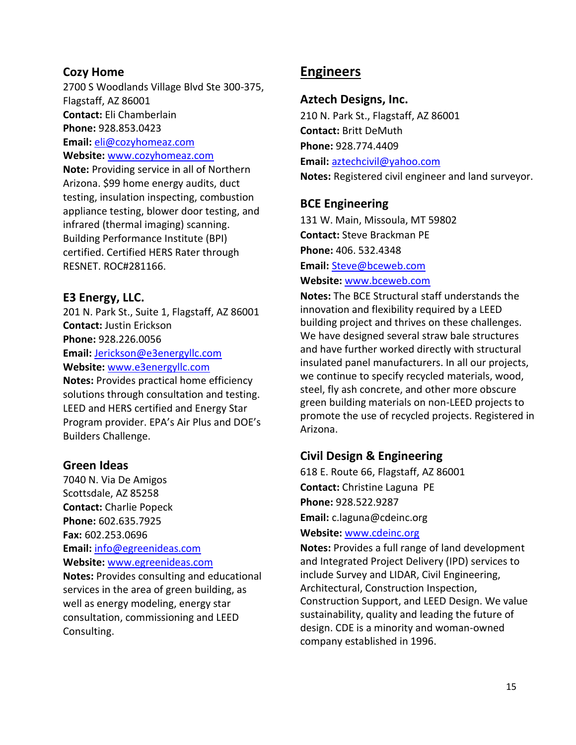#### **Cozy Home**

2700 S Woodlands Village Blvd Ste 300-375, Flagstaff, AZ 86001 **Contact:** Eli Chamberlain **Phone:** 928.853.0423 **Email:** [eli@cozyhomeaz.com](mailto:eli@cozyhomeaz.com) **Website:** [www.cozyhomeaz.com](http://www.cozyhomeaz.com/) **Note:** Providing service in all of Northern

Arizona. \$99 home energy audits, [duct](http://www.cozyhomeaz.com/) [testing, insulation inspecting, combustion](http://www.cozyhomeaz.com/) [appliance testing, blower door testing, and](http://www.cozyhomeaz.com/) [infrared \(thermal imaging\) scanning.](http://www.cozyhomeaz.com/) Building Performance Institute (BPI) certified. Certified HERS Rater through RESNET. ROC#281166.

### **E3 Energy, LLC.**

201 N. Park St., Suite 1, Flagstaff, AZ 86001 **Contact:** Justin Erickson **Phone:** 928.226.0056 **Email:** [Jerickson@e3energyllc.com](mailto:Jerickson@e3energyllc.com) **Website:** [www.e3energyllc.com](http://www.e3energyllc.com/)

**Notes:** Provides practical home efficiency solutions through consultation and testing. LEED and HERS certified and Energy Star Program provider. EPA's Air Plus and DOE's Builders Challenge.

#### **Green Ideas**

7040 N. Via De Amigos Scottsdale, AZ 85258 **Contact:** Charlie Popeck **Phone:** 602.635.7925 **Fax:** 602.253.0696 **Email:** [info@egreenideas.com](mailto:info@egreenideas.com) **Website:** [www.egreenideas.com](http://www.egreenideas.com/) **Notes:** Provides consulting and educational

services in the area of green building, as well as energy modeling, energy star consultation, commissioning and LEED Consulting.

# <span id="page-14-0"></span>**Engineers**

#### **Aztech Designs, Inc.**

210 N. Park St., Flagstaff, AZ 86001 **Contact:** Britt DeMuth **Phone:** 928.774.4409 **Email:** [aztechcivil@yahoo.com](mailto:aztechcivil@yahoo.com) **Notes:** Registered civil engineer and land surveyor.

#### **BCE Engineering**

131 W. Main, Missoula, MT 59802 **Contact:** Steve Brackman PE **Phone:** 406. 532.4348

**Email:** [Steve@bceweb.com](mailto:Steve@bceweb.com) **Website:** [www.bceweb.com](http://www.bceweb.com/)

**Notes:** The BCE Structural staff understands the innovation and flexibility required by a LEED building project and thrives on these challenges. We have designed several straw bale structures and have further worked directly with structural insulated panel manufacturers. In all our projects, we continue to specify recycled materials, wood, steel, fly ash concrete, and other more obscure green building materials on non-LEED projects to promote the use of recycled projects. Registered in Arizona.

### **Civil Design & Engineering**

618 E. Route 66, Flagstaff, AZ 86001 **Contact:** Christine Laguna PE **Phone:** 928.522.9287 **Email:** [c.laguna@cdeinc.org](mailto:c.laguna@cdeinc.org)

#### **Website:** [www.cdeinc.org](http://www.cdeinc.org/)

**Notes:** Provides a full range of land development and Integrated Project Delivery (IPD) services to include Survey and LIDAR, Civil Engineering, Architectural, Construction Inspection, Construction Support, and LEED Design. We value sustainability, quality and leading the future of design. CDE is a minority and woman-owned company established in 1996.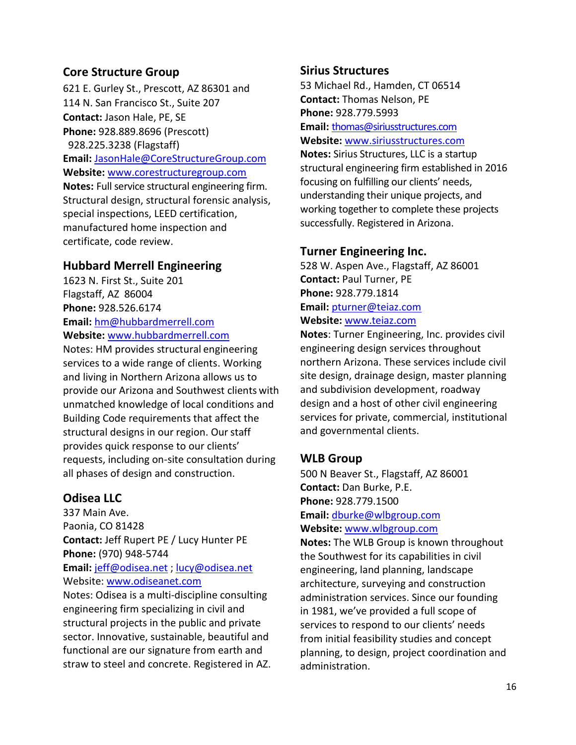### **Core Structure Group**

621 E. Gurley St., Prescott, AZ 86301 and 114 N. San Francisco St., Suite 207 **Contact:** Jason Hale, PE, SE **Phone:** 928.889.8696 (Prescott) 928.225.3238 (Flagstaff) **Email:** [JasonHale@CoreStructureGroup.com](mailto:JasonHale@CoreStructureGroup.com) **Website:** [www.corestructuregroup.com](http://www.corestructuregroup.com/) **Notes:** Full service structural engineering firm. Structural design, structural forensic analysis, special inspections, LEED certification, manufactured home inspection and certificate, code review.

# **Hubbard Merrell Engineering**

1623 N. First St., Suite 201 Flagstaff, AZ 86004 **Phone:** 928.526.6174 **Email:** [hm@hubbardmerrell.com](mailto:hm@hubbardmerrell.com) **Website:** [www.hubbardmerrell.com](http://www.hubbardmerrell.com/)

Notes: HM provides structural engineering services to a wide range of clients. Working and living in Northern Arizona allows us to provide our Arizona and Southwest clients with unmatched knowledge of local conditions and Building Code requirements that affect the structural designs in our region. Our staff provides quick response to our clients' requests, including on-site consultation during all phases of design and construction.

# **Odisea LLC**

337 Main Ave. Paonia, CO 81428 **Contact:** Jeff Rupert PE / Lucy Hunter PE **Phone:** (970) 948-5744 **Email:** [jeff@odisea.net](mailto:jeff@odisea.net) ; [lucy@odisea.net](mailto:lucy@odisea.net) Website: [www.odiseanet.com](http://www.odiseanet.com/) Notes: Odisea is a multi-discipline consulting engineering firm specializing in civil and structural projects in the public and private sector. Innovative, sustainable, beautiful and functional are our signature from earth and straw to steel and concrete. Registered in AZ.

### **Sirius Structures**

53 Michael Rd., Hamden, CT 06514 **Contact:** Thomas Nelson, PE **Phone:** 928.779.5993

**Email:** [thomas@siriusstructures.com](mailto:thomas@siriusstructures.com) **Website:** [www.siriusstructures.com](http://www.siriusstructures.com/)

**Notes:** Sirius Structures, LLC is a startup structural engineering firm established in 2016 focusing on fulfilling our clients' needs, understanding their unique projects, and working together to complete these projects successfully. Registered in Arizona.

### **Turner Engineering Inc.**

528 W. Aspen Ave., Flagstaff, AZ 86001 **Contact:** Paul Turner, PE **Phone:** 928.779.1814 **Email:** [pturner@teiaz.com](mailto:pturner@teiaz.com) **Website:** [www.teiaz.com](http://www.teiaz.com/)

**Notes**: Turner Engineering, Inc. provides civil engineering design services throughout northern Arizona. These services include civil site design, drainage design, master planning and subdivision development, roadway design and a host of other civil engineering services for private, commercial, institutional and governmental clients.

### **WLB Group**

500 N Beaver St., Flagstaff, AZ 86001 **Contact:** Dan Burke, P.E. **Phone:** 928.779.1500 **Email:** [dburke@wlbgroup.com](mailto:dburke@wlbgroup.com)

**Website:** [www.wlbgroup.com](http://www.wlbgroup.com/)

**Notes:** The WLB Group is known throughout the Southwest for its capabilities in civil engineering, land planning, landscape architecture, surveying and construction administration services. Since our founding in 1981, we've provided a full scope of services to respond to our clients' needs from initial feasibility studies and concept planning, to design, project coordination and administration.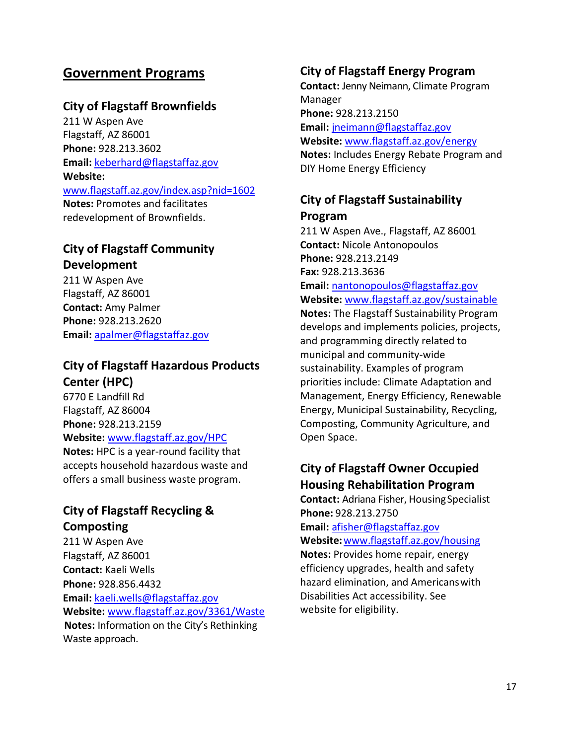# <span id="page-16-0"></span>**Government Programs**

### **City of Flagstaff Brownfields**

211 W Aspen Ave Flagstaff, AZ 86001 **Phone:** 928.213.3602 **Email:** [keberhard@flagstaffaz.gov](mailto:keberhard@flagstaffaz.gov) **Website:**  [www.flagstaff.az.gov/index.asp?nid=1602](http://www.flagstaff.az.gov/index.asp?nid=1602) **Notes:** Promotes and facilitates redevelopment of Brownfields.

# **City of Flagstaff Community Development**

211 W Aspen Ave Flagstaff, AZ 86001 **Contact:** Amy Palmer **Phone:** 928.213.2620 **Email:** [apalmer@flagstaffaz.gov](mailto:apalmer@flagstaffaz.gov)

# **City of Flagstaff Hazardous Products Center (HPC)**

6770 E Landfill Rd Flagstaff, AZ 86004 **Phone:** 928.213.2159 **Website:** [www.flagstaff.az.gov/HPC](http://www.flagstaff.az.gov/HPC) **Notes:** HPC is a year-round facility that accepts household hazardous waste and

offers a small business waste program.

# **City of Flagstaff Recycling & Composting**

211 W Aspen Ave Flagstaff, AZ 86001 **Contact:** Kaeli Wells **Phone:** 928.856.4432 **Email:** [kaeli.wells@flagstaffaz.gov](mailto:kaeli.wells@flagstaffaz.gov) **Website:** [www.flagstaff.az.gov/3](http://www.flagstaff.az.gov/)361/Waste **Notes:** Information on the City's Rethinking Waste approach.

### **City of Flagstaff Energy Program**

**Contact:** Jenny Neimann, Climate Program Manager **Phone:** 928.213.2150 **Email:** [jneimann@flagstaffaz.gov](mailto:jneimann@flagstaffaz.gov) **Website:** [www.flagstaff.az.gov/e](http://www.flagstaff.az.gov/)nergy **Notes:** Includes Energy Rebate Program and

# **City of Flagstaff Sustainability Program**

DIY Home Energy Efficiency

211 W Aspen Ave., Flagstaff, AZ 86001 **Contact:** Nicole Antonopoulos **Phone:** 928.213.2149 **Fax:** 928.213.3636 **Email:** [nantonopoulos@flagstaffaz.gov](mailto:nantonopoulos@flagstaffaz.gov) **Website:** [www.flagstaff.az.gov/sustainable](http://www.flagstaff.az.gov/sustainable) **Notes:** The Flagstaff Sustainability Program develops and implements policies, projects, and programming directly related to municipal and community-wide sustainability. Examples of program priorities include: Climate Adaptation and Management, Energy Efficiency, Renewable Energy, Municipal Sustainability, Recycling, Composting, Community Agriculture, and Open Space.

# **City of Flagstaff Owner Occupied Housing Rehabilitation Program**

**Contact:** Adriana Fisher, Housing Specialist **Phone:** 928.213.2750 **Email:** [afisher@flagstaffaz.gov](mailto:afisher@flagstaffaz.gov) **Website:**[www.flagstaff.az.gov/housing](http://www.flagstaff.az.gov/housing) **Notes:** Provides home repair, energy efficiency upgrades, health and safety hazard elimination, and Americanswith Disabilities Act accessibility. See

website for eligibility.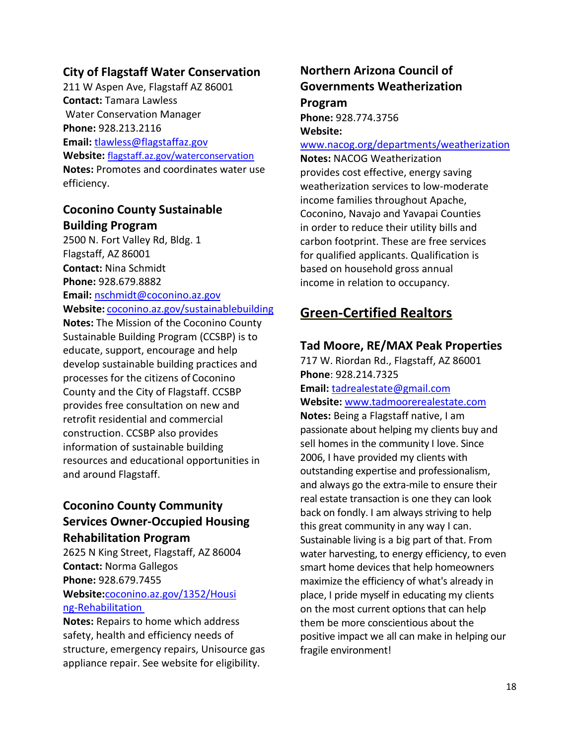### **City of Flagstaff Water Conservation**

211 W Aspen Ave, Flagstaff AZ 86001 **Contact:** Tamara Lawless Water Conservation Manager **Phone:** 928.213.2116 **Email:** [tlawless@flagstaffaz.gov](mailto:tlawless@flagstaffaz.gov) **Website:** [flagstaff.az.gov/waterconservation](file://///common10/cd$/Sustainable%20Building/Resource%20Directory/flagstaff.az.gov/waterconservation) **Notes:** Promotes and coordinates water use efficiency.

### **Coconino County Sustainable Building Program**

2500 N. Fort Valley Rd, Bldg. 1 Flagstaff, AZ 86001 **Contact:** Nina Schmidt **Phone:** 928.679.8882 **Email:** [nschmidt@coconino.az.gov](mailto:nschmidt@coconino.az.gov) **Website:** [coconino.az.gov/sustainablebuilding](http://www.coconino.az.gov/sustainablebuilding)

**Notes:** The Mission of the Coconino County Sustainable Building Program (CCSBP) is to educate, support, encourage and help develop sustainable building practices and processes for the citizens of Coconino County and the City of Flagstaff. CCSBP provides free consultation on new and retrofit residential and commercial construction. CCSBP also provides information of sustainable building resources and educational opportunities in and around Flagstaff.

# **Coconino County Community Services Owner-Occupied Housing Rehabilitation Program**

2625 N King Street, Flagstaff, AZ 86004 **Contact:** Norma Gallegos **Phone:** 928.679.7455 **Website:**[coconino.az.gov/1352/Housi](http://www.coconino.az.gov/1352/Housing-Rehabilitation) [ng-Rehabilitation](http://www.coconino.az.gov/1352/Housing-Rehabilitation) 

**Notes:** Repairs to home which address safety, health and efficiency needs of structure, emergency repairs, Unisource gas appliance repair. See website for eligibility.

# **Northern Arizona Council of Governments Weatherization Program**

**Phone:** 928.774.3756 **Website:** 

#### [www.nacog.org/departments/weatherization](http://www.nacog.org/departments/weatherization)

**Notes:** NACOG Weatherization provides cost effective, energy saving weatherization services to low-moderate income families throughout Apache, Coconino, Navajo and Yavapai Counties in order to reduce their utility bills and carbon footprint. These are free services for qualified applicants. Qualification is based on household gross annual income in relation to occupancy.

# <span id="page-17-0"></span>**Green-Certified Realtors**

#### **Tad Moore, RE/MAX Peak Properties**

717 W. Riordan Rd., Flagstaff, AZ 86001 **Phone**: 928.214.7325 **Email:** [tadrealestate@gmail.com](mailto:tadrealestate@gmail.com) **Website:** [www.tadmoorerealestate.com](http://www.tadmoorerealestate.com/) **Notes:** Being a Flagstaff native, I am passionate about helping my clients buy and sell homes in the community I love. Since 2006, I have provided my clients with outstanding expertise and professionalism, and always go the extra-mile to ensure their real estate transaction is one they can look back on fondly. I am always striving to help this great community in any way I can. Sustainable living is a big part of that. From water harvesting, to energy efficiency, to even smart home devices that help homeowners maximize the efficiency of what's already in place, I pride myself in educating my clients on the most current options that can help them be more conscientious about the positive impact we all can make in helping our fragile environment!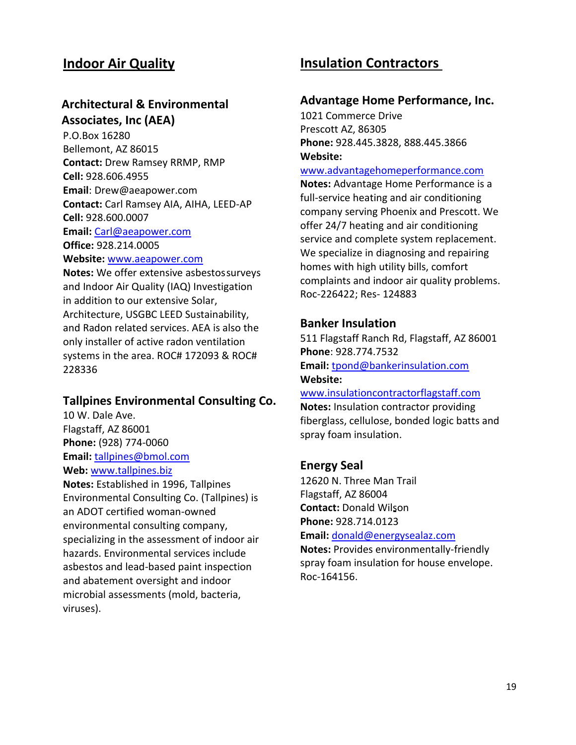# <span id="page-18-0"></span>**Indoor Air Quality**

# **Architectural & Environmental Associates, Inc (AEA)**

P.O.Box 16280 Bellemont, AZ 86015 **Contact:** Drew Ramsey RRMP, RMP **Cell:** 928.606.4955 **Email**: [Drew@aeapower.com](mailto:Drew@aeapower.com) **Contact:** Carl Ramsey AIA, AIHA, LEED-AP **Cell:** 928.600.0007 **Email:** [Carl@aeapower.com](mailto:Carl@aeapower.com) **Office:** 928.214.0005 **Website:** [www.aeapower.com](http://www.aeapower.com/)

**Notes:** We offer extensive asbestossurveys and Indoor Air Quality (IAQ) Investigation in addition to our extensive Solar, Architecture, USGBC LEED Sustainability, and Radon related services. AEA is also the only installer of active radon ventilation systems in the area. ROC# 172093 & ROC# 228336

#### **Tallpines Environmental Consulting Co.**

10 W. Dale Ave. Flagstaff, AZ 86001 **Phone:** (928) 774-0060 **Email:** [tallpines@bmol.com](mailto:tallpines@bmol.com) **Web:** [www.tallpines.biz](http://www.tallpines.biz/)

<span id="page-18-1"></span>**Notes:** Established in 1996, Tallpines Environmental Consulting Co. (Tallpines) is an ADOT certified woman-owned environmental consulting company, specializing in the assessment of indoor air hazards. Environmental services include asbestos and lead-based paint inspection and abatement oversight and indoor microbial assessments (mold, bacteria, viruses).

# **Insulation Contractors**

#### **Advantage Home Performance, Inc.**

1021 Commerce Drive Prescott AZ, 86305 **Phone:** 928.445.3828, 888.445.3866 **Website:** 

#### [www.advantagehomeperformance.com](http://www.advantagehomeperformance.com/)

**Notes:** Advantage Home Performance is a full-service heating and air conditioning company serving Phoenix and Prescott. We offer 24/7 heating and air conditioning service and complete system replacement. We specialize in diagnosing and repairing homes with high utility bills, comfort complaints and indoor air quality problems. Roc-226422; Res- 124883

#### **Banker Insulation**

511 Flagstaff Ranch Rd, Flagstaff, AZ 86001 **Phone**: 928.774.7532 **Email:** [tpond@bankerinsulation.com](mailto:tpond@bankerinsulation.com) **Website:** 

[www.insulationcontractorflagstaff.com](http://www.insulationcontractorflagstaff.com/) **Notes:** Insulation contractor providing fiberglass, cellulose, bonded logic batts and spray foam insulation.

#### **Energy Seal**

12620 N. Three Man Trail Flagstaff, AZ 86004 **Contact:** Donald Wilson **Phone:** 928.714.0123 **Email:** [donald@energysealaz.com](mailto:donald@energysealaz.com)

**Notes:** Provides environmentally-friendly spray foam insulation for house envelope. Roc-164156.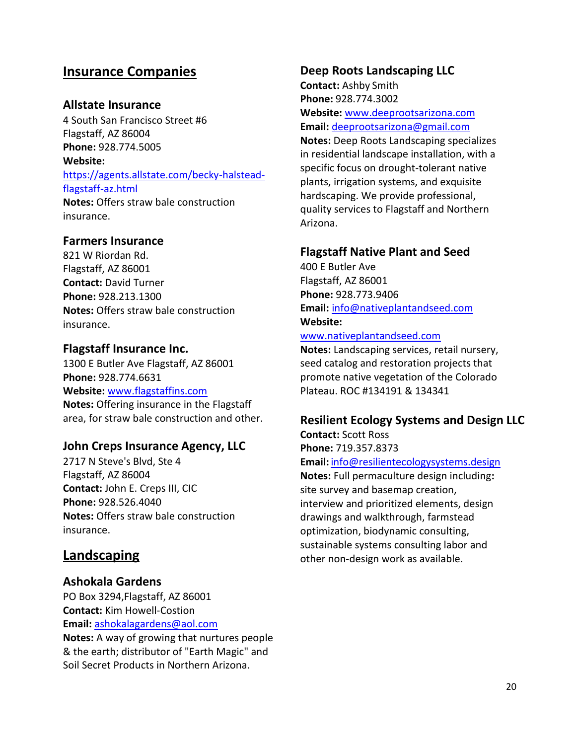# <span id="page-19-0"></span>**Insurance Companies**

### **Allstate Insurance**

4 South San Francisco Street #6 Flagstaff, AZ 86004 **Phone:** 928.774.5005 **Website:** [https://agents.allstate.com/becky-halstead](https://agents.allstate.com/becky-halstead-flagstaff-az.html)[flagstaff-az.html](https://agents.allstate.com/becky-halstead-flagstaff-az.html) **Notes:** Offers straw bale construction

#### **Farmers Insurance**

insurance.

821 W Riordan Rd. Flagstaff, AZ 86001 **Contact:** David Turner **Phone:** 928.213.1300 **Notes:** Offers straw bale construction insurance.

#### **Flagstaff Insurance Inc.**

1300 E Butler Ave Flagstaff, AZ 86001 **Phone:** 928.774.6631 **Website:** [www.flagstaffins.com](http://www.flagstaffins.com/) **Notes:** Offering insurance in the Flagstaff area, for straw bale construction and other.

#### **John Creps Insurance Agency, LLC**

2717 N Steve's Blvd, Ste 4 Flagstaff, AZ 86004 **Contact:** John E. Creps III, CIC **Phone:** 928.526.4040 **Notes:** Offers straw bale construction insurance.

### <span id="page-19-1"></span>**Landscaping**

### **Ashokala Gardens**

PO Box 3294,Flagstaff, AZ 86001 **Contact:** Kim Howell-Costion **Email:** [ashokalagardens@aol.com](mailto:ashokalagardens@aol.com)

**Notes:** A way of growing that nurtures people & the earth; distributor of "Earth Magic" and Soil Secret Products in Northern Arizona.

#### **Deep Roots Landscaping LLC**

**Contact:** Ashby Smith **Phone:** 928.774.3002 **Website:** [www.deeprootsarizona.com](http://www.deeprootsarizona.com/) **Email:** [deeprootsarizona@gmail.com](mailto:deeprootsarizona@gmail.com) **Notes:** Deep Roots Landscaping specializes

in residential landscape installation, with a specific focus on drought-tolerant native plants, irrigation systems, and exquisite hardscaping. We provide professional, quality services to Flagstaff and Northern Arizona.

### **Flagstaff Native Plant and Seed**

400 E Butler Ave Flagstaff, AZ 86001 **Phone:** 928.773.9406 **Email:** [info@nativeplantandseed.com](mailto:info@nativeplantandseed.com) **Website:**

#### [www.nativeplantandseed.com](http://www.nativeplantandseed.com/)

**Notes:** Landscaping services, retail nursery, seed catalog and restoration projects that promote native vegetation of the Colorado Plateau. ROC #134191 & 134341

#### **Resilient Ecology Systems and Design LLC**

**Contact:** Scott Ross **Phone:** 719.357.8373

#### **Email:** [info@resilientecologysystems.design](mailto:info@resilientecologysystems.design)

**Notes:** Full permaculture design including**:**  site survey and basemap creation, interview and prioritized elements, design drawings and walkthrough, farmstead optimization, biodynamic consulting, sustainable systems consulting labor and other non-design work as available.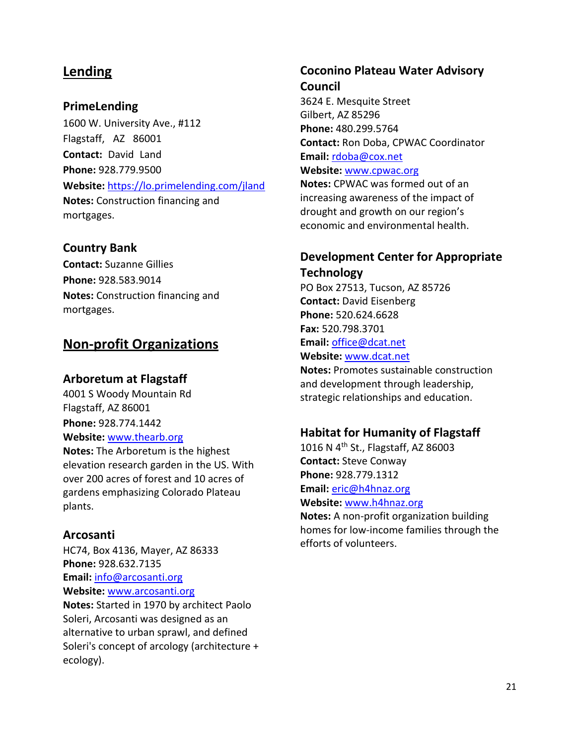# <span id="page-20-0"></span>**Lending**

#### **PrimeLending**

1600 W. University Ave., #112 Flagstaff, AZ 86001 **Contact:** David Land **Phone:** 928.779.9500 **Website:** <https://lo.primelending.com/jland> **Notes:** Construction financing and mortgages.

#### **Country Bank**

**Contact:** Suzanne Gillies **Phone:** 928.583.9014 **Notes:** Construction financing and mortgages.

# <span id="page-20-1"></span>**Non-profit Organizations**

#### **Arboretum at Flagstaff**

4001 S Woody Mountain Rd Flagstaff, AZ 86001 **Phone:** 928.774.1442 **Website:** [www.thearb.org](http://www.thearb.org/) **Notes:** The Arboretum is the highest

elevation research garden in the US. With over 200 acres of forest and 10 acres of gardens emphasizing Colorado Plateau plants.

#### **Arcosanti**

HC74, Box 4136, Mayer, AZ 86333 **Phone:** 928.632.7135 **Email:** [info@arcosanti.org](mailto:info@arcosanti.org) **Website:** [www.arcosanti.org](http://www.arcosanti.org/) **Notes:** Started in 1970 by architect Paolo

Soleri, Arcosanti was designed as an alternative to urban sprawl, and defined Soleri's concept of arcology (architecture + ecology).

# **Coconino Plateau Water Advisory Council**

3624 E. Mesquite Street Gilbert, AZ 85296 **Phone:** 480.299.5764 **Contact:** Ron Doba, CPWAC Coordinator **Email:** [rdoba@cox.net](mailto:rdoba@cox.net) **Website:** [www.cpwac.org](http://www.cpwac.org/) **Notes:** CPWAC was formed out of an increasing awareness of the impact of

drought and growth on our region's economic and environmental health.

## **Development Center for Appropriate Technology**

PO Box 27513, Tucson, AZ 85726 **Contact:** David Eisenberg **Phone:** 520.624.6628 **Fax:** 520.798.3701 **Email:** [office@dcat.net](mailto:office@dcat.net) **Website:** [www.dcat.net](http://www.dcat.net/)

**Notes:** Promotes sustainable construction and development through leadership, strategic relationships and education.

#### **Habitat for Humanity of Flagstaff**

1016 N 4th St., Flagstaff, AZ 86003 **Contact:** Steve Conway **Phone:** 928.779.1312 **Email:** [eric@h4hnaz.org](mailto:eric@h4hnaz.org) **Website:** [www.h4hnaz.org](http://www.h4hnaz.org/)

**Notes:** A non-profit organization building homes for low-income families through the efforts of volunteers.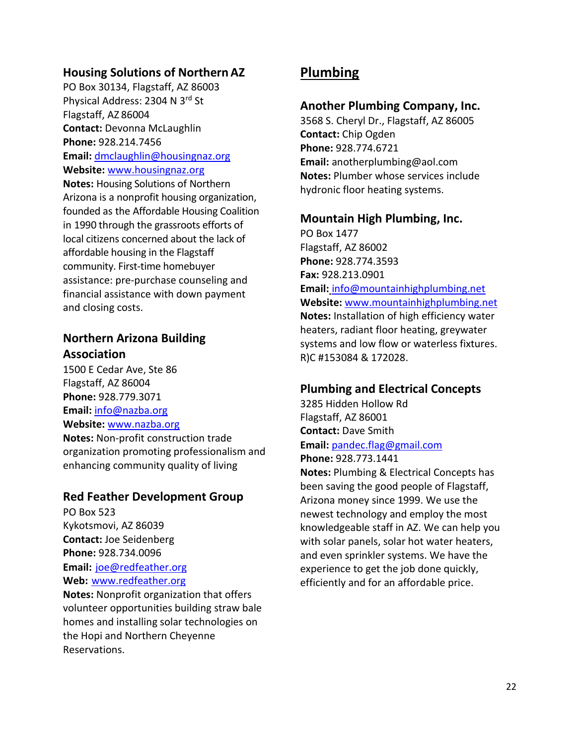### **Housing Solutions of Northern AZ**

PO Box 30134, Flagstaff, AZ 86003 Physical Address: 2304 N 3rd St Flagstaff, AZ 86004 **Contact:** Devonna McLaughlin **Phone:** 928.214.7456 **Email:** [dmclaughlin@housingnaz.org](mailto:dmclaughlin@housingnaz.org) **Website:** [www.housingnaz.org](http://www.housingnaz.org/) **Notes:** Housing Solutions of Northern Arizona is a nonprofit housing organization, founded as the Affordable Housing Coalition in 1990 through the grassroots efforts of local citizens concerned about the lack of affordable housing in the Flagstaff community. First-time homebuyer assistance: pre-purchase counseling and financial assistance with down payment and closing costs.

### **Northern Arizona Building Association**

1500 E Cedar Ave, Ste 86 Flagstaff, AZ 86004 **Phone:** 928.779.3071 **Email:** [info@nazba.org](mailto:info@nazba.org) **Website:** [www.nazba.org](http://www.nazba.org/) **Notes:** Non-profit construction trade organization promoting professionalism and enhancing community quality of living

### **Red Feather Development Group**

PO Box 523 Kykotsmovi, AZ 86039 **Contact:** Joe Seidenberg **Phone:** 928.734.0096 **Email:** [joe@redfeather.org](mailto:joe@redfeather.org) **Web:** [www.redfeather.org](http://www.redfeather.org/)

**Notes:** Nonprofit organization that offers volunteer opportunities building straw bale homes and installing solar technologies on the Hopi and Northern Cheyenne Reservations.

# <span id="page-21-0"></span>**Plumbing**

### **Another Plumbing Company, Inc.**

3568 S. Cheryl Dr., Flagstaff, AZ 86005 **Contact:** Chip Ogden **Phone:** 928.774.6721 **Email:** [anotherplumbing@aol.com](mailto:anotherplumbing@aol.com) **Notes:** Plumber whose services include hydronic floor heating systems.

### **Mountain High Plumbing, Inc.**

PO Box 1477 Flagstaff, AZ 86002 **Phone:** 928.774.3593 **Fax:** 928.213.0901 **Email:** [info@mountainhighplumbing.net](mailto:info@mountainhighplumbing.net) **Website:** [www.mountainhighplumbing.net](http://www.mountainhighplumbing.net/) **Notes:** Installation of high efficiency water heaters, radiant floor heating, greywater systems and low flow or waterless fixtures. R)C #153084 & 172028.

### **Plumbing and Electrical Concepts**

3285 Hidden Hollow Rd Flagstaff, AZ 86001 **Contact:** Dave Smith **Email:** [pandec.flag@gmail.com](mailto:pandec.flag@gmail.com) **Phone:** 928.773.1441

**Notes:** Plumbing & Electrical Concepts has been saving the good people of Flagstaff, Arizona money since 1999. We use the newest technology and employ the most knowledgeable staff in AZ. We can help you with solar panels, solar hot water heaters, and even sprinkler systems. We have the experience to get the job done quickly, efficiently and for an affordable price.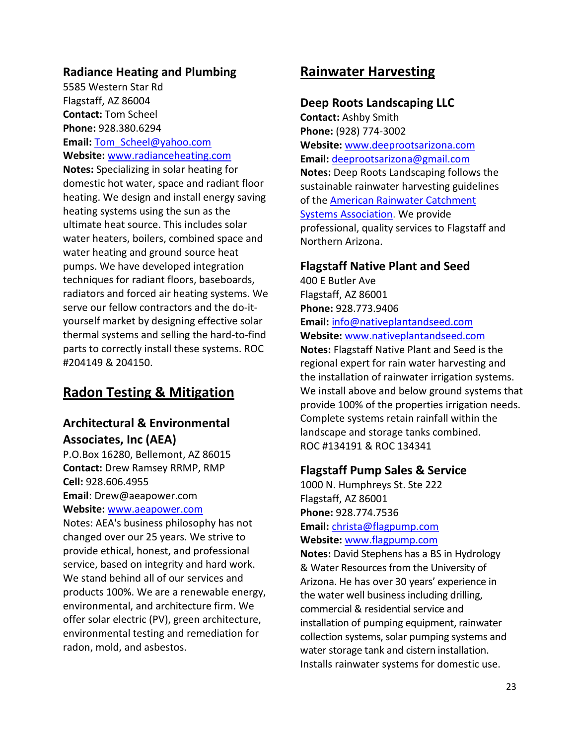### **Radiance Heating and Plumbing**

5585 Western Star Rd Flagstaff, AZ 86004 **Contact:** Tom Scheel **Phone:** 928.380.6294 **Email:** [Tom\\_Scheel@yahoo.com](mailto:Tom_Scheel@yahoo.com) **Website:** [www.radianceheating.com](http://www.radianceheating.com/) **Notes:** Specializing in solar heating for domestic hot water, space and radiant floor heating. We design and install energy saving heating systems using the sun as the ultimate heat source. This includes solar water heaters, boilers, combined space and water heating and ground source heat

pumps. We have developed integration techniques for radiant floors, baseboards, radiators and forced air heating systems. We serve our fellow contractors and the do-ityourself market by designing effective solar thermal systems and selling the hard-to-find parts to correctly install these systems. ROC #204149 & 204150.

# <span id="page-22-0"></span>**Radon Testing & Mitigation**

# **Architectural & Environmental Associates, Inc (AEA)**

P.O.Box 16280, Bellemont, AZ 86015 **Contact:** Drew Ramsey RRMP, RMP **Cell:** 928.606.4955 **Email**: [Drew@aeapower.com](mailto:Drew@aeapower.com)

**Website:** [www.aeapower.com](http://www.aeapower.com/)

Notes: AEA's business philosophy has not changed over our 25 years. We strive to provide ethical, honest, and professional service, based on integrity and hard work. We stand behind all of our services and products 100%. We are a renewable energy, environmental, and architecture firm. We offer solar electric (PV), green architecture, environmental testing and remediation for radon, mold, and asbestos.

# <span id="page-22-1"></span>**Rainwater Harvesting**

#### **Deep Roots Landscaping LLC**

**Contact:** Ashby Smith **Phone:** (928) 774-3002 **Website:** [www.deeprootsarizona.com](http://www.deeprootsarizona.com/) **Email:** [deeprootsarizona@gmail.com](mailto:deeprootsarizona@gmail.com) **Notes:** Deep Roots Landscaping follows the sustainable rainwater harvesting guidelines of the [American Rainwater Catchment](http://www.arcsa.org/) [Systems Association.](http://www.arcsa.org/) We provide professional, quality services to Flagstaff and Northern Arizona.

#### **Flagstaff Native Plant and Seed**

400 E Butler Ave Flagstaff, AZ 86001 **Phone:** 928.773.9406 **Email:** [info@nativeplantandseed.com](mailto:info@nativeplantandseed.com) **Website:** [www.nativeplantandseed.com](http://www.nativeplantandseed.com/)

**Notes:** Flagstaff Native Plant and Seed is the regional expert for rain water harvesting and the installation of rainwater irrigation systems. We install above and below ground systems that provide 100% of the properties irrigation needs. Complete systems retain rainfall within the landscape and storage tanks combined. ROC #134191 & ROC 134341

#### **Flagstaff Pump Sales & Service**

1000 N. Humphreys St. Ste 222 Flagstaff, AZ 86001 **Phone:** 928.774.7536 **Email:** [christa@flagpump.com](mailto:christa@flagpump.com) **Website:** [www.flagpump.com](http://www.flagpump.com/)

**Notes:** David Stephens has a BS in Hydrology & Water Resources from the University of Arizona. He has over 30 years' experience in the water well business including drilling, commercial & residential service and installation of pumping equipment, rainwater collection systems, solar pumping systems and water storage tank and cistern installation. Installs rainwater systems for domestic use.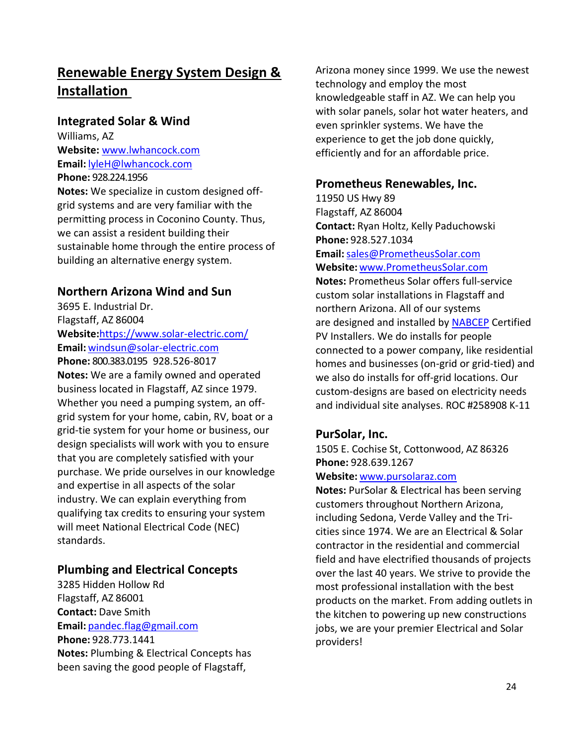# <span id="page-23-0"></span>**Renewable Energy System Design & Installation**

#### **Integrated Solar & Wind**

Williams, AZ **Website:** [www.lwhancock.com](http://www.lwhancock.com/) **Email:** [lyleH@lwhancock.com](mailto:lyleH@lwhancock.com) **Phone:** 928.224.1956

**Notes:** We specialize in custom designed offgrid systems and are very familiar with the permitting process in Coconino County. Thus, we can assist a resident building their sustainable home through the entire process of building an alternative energy system.

# **Northern Arizona Wind and Sun**

3695 E. Industrial Dr. Flagstaff, AZ 86004 **Website:**<https://www.solar-electric.com/> **Email:** [windsun@solar-electric.com](mailto:windsun@solar-electric.com)

**Phone:** 800.383.0195928.526-8017 **Notes:** We are a family owned and operated business located in Flagstaff, AZ since 1979. Whether you need a pumping system, an offgrid system for your home, cabin, RV, boat or a grid-tie system for your home or business, our design specialists will work with you to ensure that you are completely satisfied with your purchase. We pride ourselves in our knowledge and expertise in all aspects of the solar industry. We can explain everything from qualifying tax credits to ensuring your system will meet National Electrical Code (NEC) standards.

# **Plumbing and Electrical Concepts**

3285 Hidden Hollow Rd Flagstaff, AZ 86001 **Contact:** Dave Smith **Email:** [pandec.flag@gmail.com](mailto:pandec.flag@gmail.com) **Phone:** 928.773.1441 **Notes:** Plumbing & Electrical Concepts has been saving the good people of Flagstaff,

Arizona money since 1999. We use the newest technology and employ the most knowledgeable staff in AZ. We can help you with solar panels, solar hot water heaters, and even sprinkler systems. We have the experience to get the job done quickly, efficiently and for an affordable price.

## **Prometheus Renewables, Inc.**

11950 US Hwy 89 Flagstaff, AZ 86004 **Contact:** Ryan Holtz, Kelly Paduchowski **Phone:** 928.527.1034 **Email:**[sales@PrometheusSolar.com](mailto:sales@PrometheusSolar.com) **Website:** [www.PrometheusSolar.com](http://www.prometheussolar.com/) **Notes:** Prometheus Solar offers full-service custom solar installations in Flagstaff and northern Arizona. All of our systems are designed and installed by [NABCEP](http://www.nabcep.org/about-us) Certified PV Installers. We do installs for people connected to a power company, like residential homes and businesses (on-grid or grid-tied) and we also do installs for off-grid locations. Our custom-designs are based on electricity needs and individual site analyses. ROC #258908 K-11

# **PurSolar, Inc.**

1505 E. Cochise St, Cottonwood, AZ 86326 **Phone:** 928.639.1267

#### **Website:** [www.pursolaraz.com](http://www.pursolaraz.com/)

**Notes:** PurSolar & Electrical has been serving customers throughout Northern Arizona, including Sedona, Verde Valley and the Tricities since 1974. We are an Electrical & Solar contractor in the residential and commercial field and have electrified thousands of projects over the last 40 years. We strive to provide the most professional installation with the best products on the market. From adding outlets in the kitchen to powering up new constructions jobs, we are your premier Electrical and Solar providers!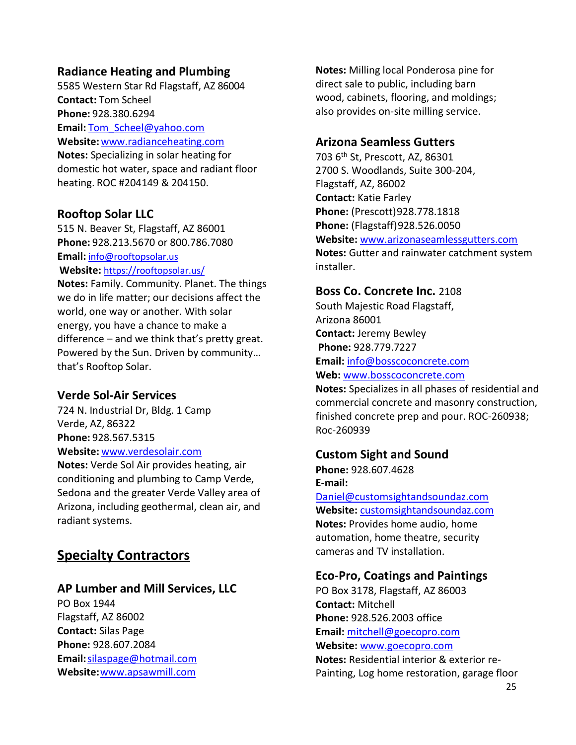### **Radiance Heating and Plumbing**

5585 Western Star Rd Flagstaff, AZ 86004 **Contact:** Tom Scheel **Phone:** 928.380.6294 **Email:** [Tom\\_Scheel@yahoo.com](mailto:Tom_Scheel@yahoo.com) **Website:** [www.radianceheating.com](http://www.radianceheating.com/) **Notes:** Specializing in solar heating for

domestic hot water, space and radiant floor heating. ROC #204149 & 204150.

#### **Rooftop Solar LLC**

515 N. Beaver St, Flagstaff, AZ 86001 **Phone:** 928.213.5670 or 800.786.7080 **Email:** [info@rooftopsolar.us](mailto:info@rooftopsolar.us) **Website:** <https://rooftopsolar.us/>

**Notes:** Family. Community. Planet. The things we do in life matter; our decisions affect the world, one way or another. With solar energy, you have a chance to make a difference – and we think that's pretty great. Powered by the Sun. Driven by community… that's Rooftop Solar.

#### **Verde Sol-Air Services**

724 N. Industrial Dr, Bldg. 1 Camp Verde, AZ, 86322 **Phone:** 928.567.5315 **Website:** [www.verdesolair.com](http://www.verdesolair.com/)

**Notes:** Verde Sol Air provides heating, air conditioning and plumbing to Camp Verde, Sedona and the greater Verde Valley area of Arizona, including geothermal, clean air, and radiant systems.

# <span id="page-24-0"></span>**Specialty Contractors**

#### **AP Lumber and Mill Services, LLC**

PO Box 1944 Flagstaff, AZ 86002 **Contact:** Silas Page **Phone:** 928.607.2084 **Email:**[silaspage@hotmail.com](mailto:silaspage@hotmail.com) **Website:**[www.apsawmill.com](http://www.apsawmill.com/)

**Notes:** Milling local Ponderosa pine for direct sale to public, including barn wood, cabinets, flooring, and moldings; also provides on-site milling service.

#### **Arizona Seamless Gutters**

703 6th St, Prescott, AZ, 86301 2700 S. Woodlands, Suite 300-204, Flagstaff, AZ, 86002 **Contact:** Katie Farley **Phone:** (Prescott)928.778.1818 **Phone:** (Flagstaff)928.526.0050 **Website:** [www.arizonaseamlessgutters.com](http://www.arizonaseamlessgutters.com/) **Notes:** Gutter and rainwater catchment system installer.

#### **Boss Co. Concrete Inc.** 2108

South Majestic Road Flagstaff, Arizona 86001 **Contact:** Jeremy Bewley **Phone:** 928.779.7227 **Email:** [info@bosscoconcrete.com](mailto:info@bosscoconcrete.com) **Web:** [www.bosscoconcrete.com](http://www.bosscoconcrete.com/)

**Notes:** Specializes in all phases of residential and commercial concrete and masonry construction, finished concrete prep and pour. ROC-260938; Roc-260939

#### **Custom Sight and Sound**

**Phone:** 928.607.4628 **E-mail:** 

[Daniel@customsightandsoundaz.com](mailto:Daniel@customsightandsoundaz.com) **Website:** [customsightandsoundaz.com](http://www.customsightandsoundaz.com/) **Notes:** Provides home audio, home automation, home theatre, security cameras and TV installation.

#### **Eco-Pro, Coatings and Paintings**

PO Box 3178, Flagstaff, AZ 86003 **Contact:** Mitchell **Phone:** 928.526.2003 office **Email:** [mitchell@goecopro.com](mailto:mitchell@goecopro.com) **Website:** [www.goecopro.com](http://www.goecopro.com/) **Notes:** Residential interior & exterior re-Painting, Log home restoration, garage floor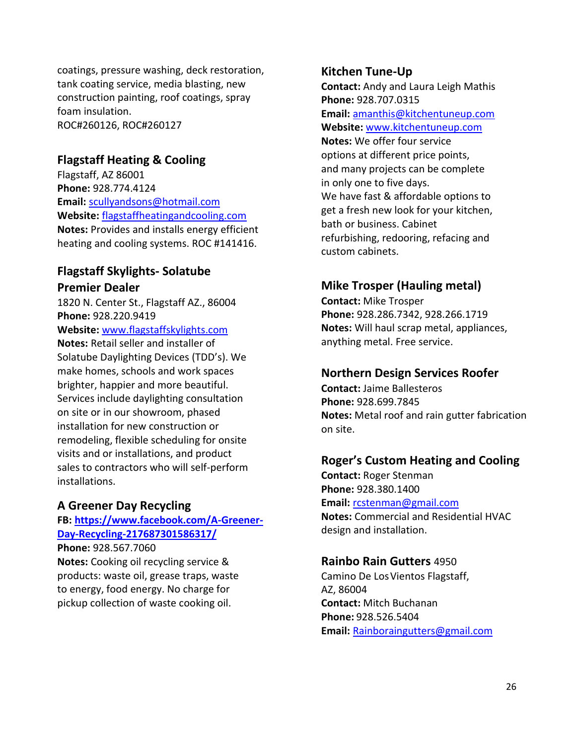coatings, pressure washing, deck restoration, tank coating service, media blasting, new construction painting, roof coatings, spray foam insulation. ROC#260126, ROC#260127

#### **Flagstaff Heating & Cooling**

Flagstaff, AZ 86001 **Phone:** 928.774.4124 **Email:** [scullyandsons@hotmail.com](mailto:scullyandsons@hotmail.com) **Website:** [flagstaffheatingandcooling.com](http://www.flagstaffheatingandcooling.com/) **Notes:** Provides and installs energy efficient heating and cooling systems. ROC #141416.

### **Flagstaff Skylights- Solatube Premier Dealer**

1820 N. Center St., Flagstaff AZ., 86004 **Phone:** 928.220.9419 **Website:** [www.flagstaffskylights.com](http://www.flagstaffskylights.com/)

**Notes:** Retail seller and installer of Solatube Daylighting Devices (TDD's). We make homes, schools and work spaces brighter, happier and more beautiful. Services include daylighting consultation on site or in our showroom, phased installation for new construction or remodeling, flexible scheduling for onsite visits and or installations, and product sales to contractors who will self-perform installations.

#### **A Greener Day Recycling**

#### **FB: [https://www.facebook.com/A-Greener-](https://www.facebook.com/A-Greener-Day-Recycling-217687301586317/)[Day-Recycling-217687301586317/](https://www.facebook.com/A-Greener-Day-Recycling-217687301586317/)**

**Phone:** 928.567.7060 **Notes:** Cooking oil recycling service & products: waste oil, grease traps, waste to energy, food energy. No charge for pickup collection of waste cooking oil.

#### **Kitchen Tune-Up**

**Contact:** Andy and Laura Leigh Mathis **Phone:** 928.707.0315 **Email:** [amanthis@kitchentuneup.com](mailto:amanthis@kitchentuneup.com) **Website:** [www.kitchentuneup.com](http://www.kitchentuneup.com/) **Notes:** We offer four service options at different price points, and many projects can be complete in only one to five days. We have fast & affordable options to get a fresh new look for your kitchen, bath or business. Cabinet refurbishing, redooring, refacing and custom cabinets.

# **Mike Trosper (Hauling metal)**

**Contact:** Mike Trosper **Phone:** 928.286.7342, 928.266.1719 **Notes:** Will haul scrap metal, appliances, anything metal. Free service.

#### **Northern Design Services Roofer**

**Contact:** Jaime Ballesteros **Phone:** 928.699.7845 **Notes:** Metal roof and rain gutter fabrication on site.

#### **Roger's Custom Heating and Cooling**

**Contact:** Roger Stenman **Phone:** 928.380.1400 **Email:** [rcstenman@gmail.com](mailto:rcstenman@gmail.com) **Notes:** Commercial and Residential HVAC design and installation.

#### **Rainbo Rain Gutters** 4950

Camino De Los Vientos Flagstaff, AZ, 86004 **Contact:** Mitch Buchanan **Phone:** 928.526.5404 **Email:** [Rainboraingutters@gmail.com](mailto:Rainboraingutters@gmail.com)